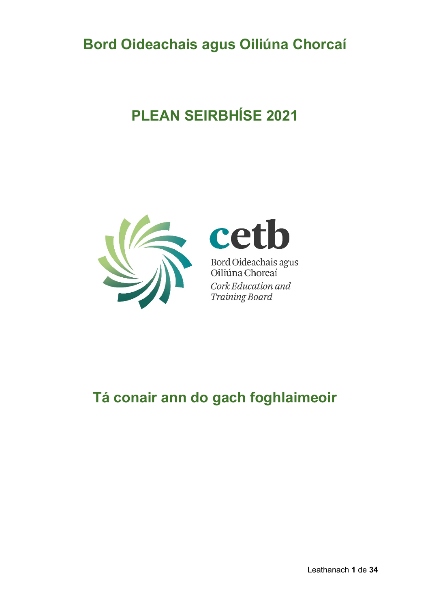# **Bord Oideachais agus Oiliúna Chorcaí**

# **PLEAN SEIRBHÍSE 2021**





Bord Oideachais agus<br>Oiliúna Chorcaí Cork Education and **Training Board** 

# **Tá conair ann do gach foghlaimeoir**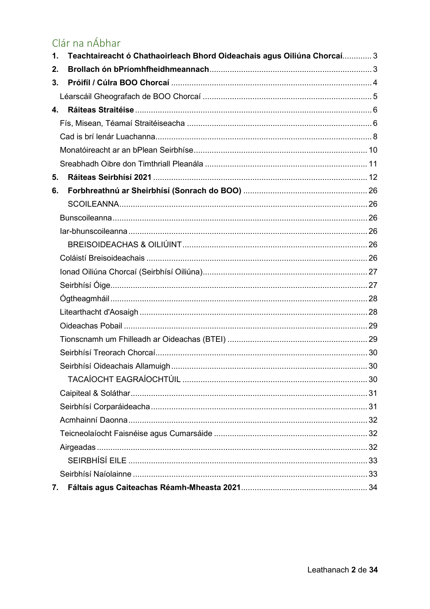# Clár na nÁbhar

| Teachtaireacht ó Chathaoirleach Bhord Oideachais agus Oiliúna Chorcaí 3<br>1. |  |
|-------------------------------------------------------------------------------|--|
| 2.                                                                            |  |
| 3.                                                                            |  |
|                                                                               |  |
| 4.                                                                            |  |
|                                                                               |  |
|                                                                               |  |
|                                                                               |  |
|                                                                               |  |
| 5.                                                                            |  |
| 6.                                                                            |  |
|                                                                               |  |
|                                                                               |  |
|                                                                               |  |
|                                                                               |  |
|                                                                               |  |
|                                                                               |  |
|                                                                               |  |
|                                                                               |  |
|                                                                               |  |
|                                                                               |  |
|                                                                               |  |
|                                                                               |  |
|                                                                               |  |
|                                                                               |  |
|                                                                               |  |
|                                                                               |  |
|                                                                               |  |
|                                                                               |  |
|                                                                               |  |
|                                                                               |  |
|                                                                               |  |
| 7.                                                                            |  |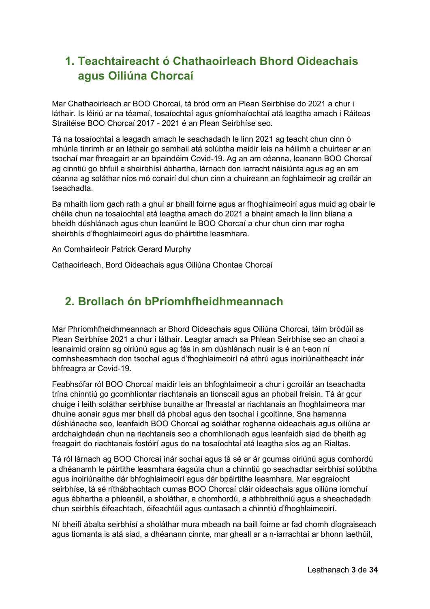# <span id="page-2-0"></span>**1. Teachtaireacht ó Chathaoirleach Bhord Oideachais agus Oiliúna Chorcaí**

Mar Chathaoirleach ar BOO Chorcaí, tá bród orm an Plean Seirbhíse do 2021 a chur i láthair. Is léiriú ar na téamaí, tosaíochtaí agus gníomhaíochtaí atá leagtha amach i Ráiteas Straitéise BOO Chorcaí 2017 - 2021 é an Plean Seirbhíse seo.

Tá na tosaíochtaí a leagadh amach le seachadadh le linn 2021 ag teacht chun cinn ó mhúnla tinrimh ar an láthair go samhail atá solúbtha maidir leis na héilimh a chuirtear ar an tsochaí mar fhreagairt ar an bpaindéim Covid-19. Ag an am céanna, leanann BOO Chorcaí ag cinntiú go bhfuil a sheirbhísí ábhartha, lárnach don iarracht náisiúnta agus ag an am céanna ag soláthar níos mó conairí dul chun cinn a chuireann an foghlaimeoir ag croílár an tseachadta.

Ba mhaith liom gach rath a ghuí ar bhaill foirne agus ar fhoghlaimeoirí agus muid ag obair le chéile chun na tosaíochtaí atá leagtha amach do 2021 a bhaint amach le linn bliana a bheidh dúshlánach agus chun leanúint le BOO Chorcaí a chur chun cinn mar rogha sheirbhís d'fhoghlaimeoirí agus do pháirtithe leasmhara.

An Comhairleoir Patrick Gerard Murphy

Cathaoirleach, Bord Oideachais agus Oiliúna Chontae Chorcaí

## <span id="page-2-1"></span>**2. Brollach ón bPríomhfheidhmeannach**

Mar Phríomhfheidhmeannach ar Bhord Oideachais agus Oiliúna Chorcaí, táim bródúil as Plean Seirbhíse 2021 a chur i láthair. Leagtar amach sa Phlean Seirbhíse seo an chaoi a leanaimid orainn ag oiriúnú agus ag fás in am dúshlánach nuair is é an t-aon ní comhsheasmhach don tsochaí agus d'fhoghlaimeoirí ná athrú agus inoiriúnaitheacht inár bhfreagra ar Covid-19.

Feabhsófar ról BOO Chorcaí maidir leis an bhfoghlaimeoir a chur i gcroílár an tseachadta trína chinntiú go gcomhlíontar riachtanais an tionscail agus an phobail freisin. Tá ár gcur chuige i leith soláthar seirbhíse bunaithe ar fhreastal ar riachtanais an fhoghlaimeora mar dhuine aonair agus mar bhall dá phobal agus den tsochaí i gcoitinne. Sna hamanna dúshlánacha seo, leanfaidh BOO Chorcaí ag soláthar roghanna oideachais agus oiliúna ar ardchaighdeán chun na riachtanais seo a chomhlíonadh agus leanfaidh siad de bheith ag freagairt do riachtanais fostóirí agus do na tosaíochtaí atá leagtha síos ag an Rialtas.

Tá ról lárnach ag BOO Chorcaí inár sochaí agus tá sé ar ár gcumas oiriúnú agus comhordú a dhéanamh le páirtithe leasmhara éagsúla chun a chinntiú go seachadtar seirbhísí solúbtha agus inoiriúnaithe dár bhfoghlaimeoirí agus dár bpáirtithe leasmhara. Mar eagraíocht seirbhíse, tá sé ríthábhachtach cumas BOO Chorcaí cláir oideachais agus oiliúna iomchuí agus ábhartha a phleanáil, a sholáthar, a chomhordú, a athbhreithniú agus a sheachadadh chun seirbhís éifeachtach, éifeachtúil agus cuntasach a chinntiú d'fhoghlaimeoirí.

Ní bheifí ábalta seirbhísí a sholáthar mura mbeadh na baill foirne ar fad chomh díograiseach agus tiomanta is atá siad, a dhéanann cinnte, mar gheall ar a n-iarrachtaí ar bhonn laethúil,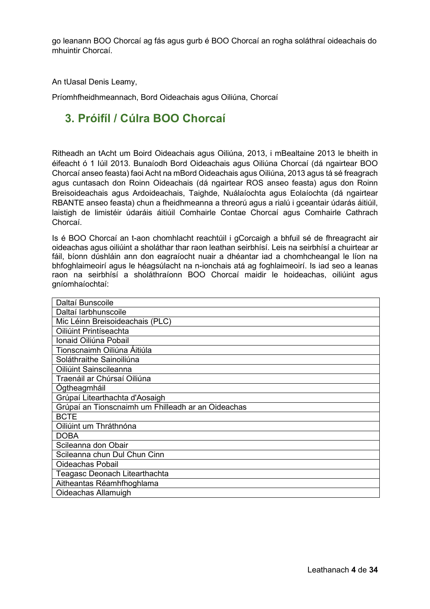go leanann BOO Chorcaí ag fás agus gurb é BOO Chorcaí an rogha soláthraí oideachais do mhuintir Chorcaí.

An tUasal Denis Leamy,

Príomhfheidhmeannach, Bord Oideachais agus Oiliúna, Chorcaí

# <span id="page-3-0"></span>**3. Próifíl / Cúlra BOO Chorcaí**

Ritheadh an tAcht um Boird Oideachais agus Oiliúna, 2013, i mBealtaine 2013 le bheith in éifeacht ó 1 Iúil 2013. Bunaíodh Bord Oideachais agus Oiliúna Chorcaí (dá ngairtear BOO Chorcaí anseo feasta) faoi Acht na mBord Oideachais agus Oiliúna, 2013 agus tá sé freagrach agus cuntasach don Roinn Oideachais (dá ngairtear ROS anseo feasta) agus don Roinn Breisoideachais agus Ardoideachais, Taighde, Nuálaíochta agus Eolaíochta (dá ngairtear RBANTE anseo feasta) chun a fheidhmeanna a threorú agus a rialú i gceantair údarás áitiúil, laistigh de limistéir údaráis áitiúil Comhairle Contae Chorcaí agus Comhairle Cathrach Chorcaí.

Is é BOO Chorcaí an t-aon chomhlacht reachtúil i gCorcaigh a bhfuil sé de fhreagracht air oideachas agus oiliúint a sholáthar thar raon leathan seirbhísí. Leis na seirbhísí a chuirtear ar fáil, bíonn dúshláin ann don eagraíocht nuair a dhéantar iad a chomhcheangal le líon na bhfoghlaimeoirí agus le héagsúlacht na n-ionchais atá ag foghlaimeoirí. Is iad seo a leanas raon na seirbhísí a sholáthraíonn BOO Chorcaí maidir le hoideachas, oiliúint agus gníomhaíochtaí:

| Daltaí Bunscoile                                   |
|----------------------------------------------------|
| Daltaí Iarbhunscoile                               |
| Mic Léinn Breisoideachais (PLC)                    |
| Oiliúint Printíseachta                             |
| Ionaid Oiliúna Pobail                              |
| Tionscnaimh Oiliúna Áitiúla                        |
| Soláthraithe Sainoiliúna                           |
| Oiliúint Sainscileanna                             |
| Traenáil ar Chúrsaí Oiliúna                        |
| Ógtheagmháil                                       |
| Grúpaí Litearthachta d'Aosaigh                     |
| Grúpaí an Tionscnaimh um Fhilleadh ar an Oideachas |
| <b>BCTE</b>                                        |
| Oiliúint um Thráthnóna                             |
| <b>DOBA</b>                                        |
| Scileanna don Obair                                |
| Scileanna chun Dul Chun Cinn                       |
| Oideachas Pobail                                   |
| Teagasc Deonach Litearthachta                      |
| Aitheantas Réamhfhoghlama                          |
| Oideachas Allamuigh                                |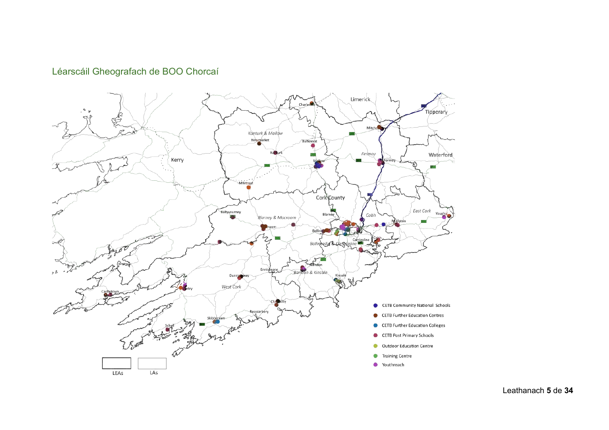## Léarscáil Gheografach de BOO Chorcaí

<span id="page-4-0"></span>

Leathanach **5** de **34**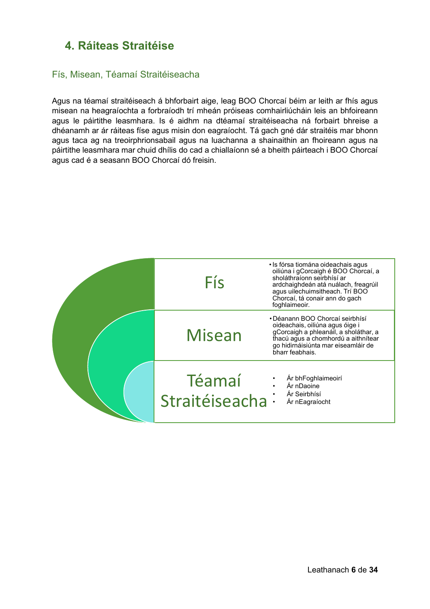## <span id="page-5-0"></span>**4. Ráiteas Straitéise**

## <span id="page-5-1"></span>Fís, Misean, Téamaí Straitéiseacha

Agus na téamaí straitéiseach á bhforbairt aige, leag BOO Chorcaí béim ar leith ar fhís agus misean na heagraíochta a forbraíodh trí mheán próiseas comhairliúcháin leis an bhfoireann agus le páirtithe leasmhara. Is é aidhm na dtéamaí straitéiseacha ná forbairt bhreise a dhéanamh ar ár ráiteas físe agus misin don eagraíocht. Tá gach gné dár straitéis mar bhonn agus taca ag na treoirphrionsabail agus na luachanna a shainaithin an fhoireann agus na páirtithe leasmhara mar chuid dhílis do cad a chiallaíonn sé a bheith páirteach i BOO Chorcaí agus cad é a seasann BOO Chorcaí dó freisin.

| Fís                        | • Is fórsa tiomána oideachais agus<br>oiliúna i gCorcaigh é BOO Chorcaí, a<br>sholáthraíonn seirbhísí ar<br>ardchaighdeán atá nuálach, freagrúil<br>agus uilechuimsitheach. Trí BOO<br>Chorcaí, tá conair ann do gach<br>foghlaimeoir. |
|----------------------------|----------------------------------------------------------------------------------------------------------------------------------------------------------------------------------------------------------------------------------------|
| Misean                     | • Déanann BOO Chorcaí seirbhísí<br>oideachais, oiliúna agus óige i<br>gCorcaigh a phleanáil, a sholáthar, a<br>thacú agus a chomhordú a aithnítear<br>go hidirnáisiúnta mar eiseamláir de<br>bharr feabhais.                           |
| Téamaí<br>Straitéiseacha : | Ár bhFoghlaimeoirí<br>Ár nDaoine<br>Ár Seirbhísí<br>Ár nEagraíocht                                                                                                                                                                     |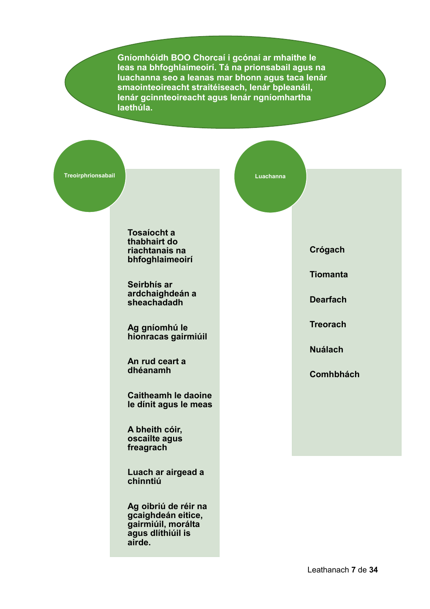**Gníomhóidh BOO Chorcaí i gcónaí ar mhaithe le leas na bhfoghlaimeoirí. Tá na prionsabail agus na luachanna seo a leanas mar bhonn agus taca lenár smaointeoireacht straitéiseach, lenár bpleanáil, lenár gcinnteoireacht agus lenár ngníomhartha laethúla.**

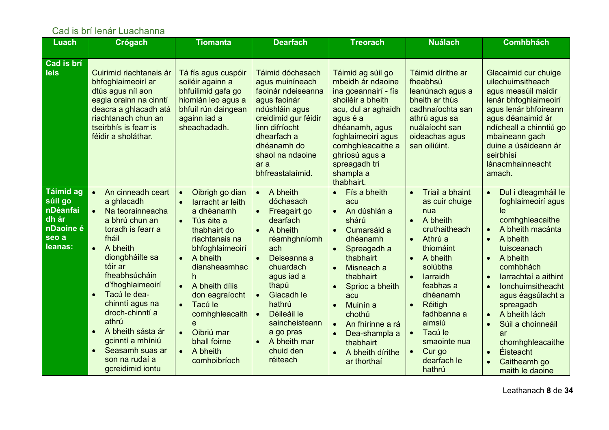## Cad is brí lenár Luachanna

<span id="page-7-0"></span>

| <b>Luach</b>                                                                      | Crógach                                                                                                                                                                                                                                                                                                                                                                                    | <b>Tiomanta</b>                                                                                                                                                                                                                                                                                                                | <b>Dearfach</b>                                                                                                                                                                                                                                                                                                         | <b>Treorach</b>                                                                                                                                                                                                                                                                                                                                                                                       | <b>Nuálach</b>                                                                                                                                                                                                                                                                                                                             | <b>Comhbhách</b>                                                                                                                                                                                                                                                                                                                                                                                                         |
|-----------------------------------------------------------------------------------|--------------------------------------------------------------------------------------------------------------------------------------------------------------------------------------------------------------------------------------------------------------------------------------------------------------------------------------------------------------------------------------------|--------------------------------------------------------------------------------------------------------------------------------------------------------------------------------------------------------------------------------------------------------------------------------------------------------------------------------|-------------------------------------------------------------------------------------------------------------------------------------------------------------------------------------------------------------------------------------------------------------------------------------------------------------------------|-------------------------------------------------------------------------------------------------------------------------------------------------------------------------------------------------------------------------------------------------------------------------------------------------------------------------------------------------------------------------------------------------------|--------------------------------------------------------------------------------------------------------------------------------------------------------------------------------------------------------------------------------------------------------------------------------------------------------------------------------------------|--------------------------------------------------------------------------------------------------------------------------------------------------------------------------------------------------------------------------------------------------------------------------------------------------------------------------------------------------------------------------------------------------------------------------|
|                                                                                   |                                                                                                                                                                                                                                                                                                                                                                                            |                                                                                                                                                                                                                                                                                                                                |                                                                                                                                                                                                                                                                                                                         |                                                                                                                                                                                                                                                                                                                                                                                                       |                                                                                                                                                                                                                                                                                                                                            |                                                                                                                                                                                                                                                                                                                                                                                                                          |
| Cad is brí<br>leis                                                                | Cuirimid riachtanais ár<br>bhfoghlaimeoirí ar<br>dtús agus níl aon<br>eagla orainn na cinntí<br>deacra a ghlacadh atá<br>riachtanach chun an<br>tseirbhís is fearr is<br>féidir a sholáthar.                                                                                                                                                                                               | Tá fís agus cuspóir<br>soiléir againn a<br>bhfuilimid gafa go<br>hiomlán leo agus a<br>bhfuil rún daingean<br>againn iad a<br>sheachadadh.                                                                                                                                                                                     | Táimid dóchasach<br>agus muiníneach<br>faoinár ndeiseanna<br>agus faoinár<br>ndúshláin agus<br>creidimid gur féidir<br>linn difríocht<br>dhearfach a<br>dhéanamh do<br>shaol na ndaoine<br>ar a<br>bhfreastalaímid.                                                                                                     | Táimid ag súil go<br>mbeidh ár ndaoine<br>ina gceannairí - fís<br>shoiléir a bheith<br>acu, dul ar aghaidh<br>agus é a<br>dhéanamh, agus<br>foghlaimeoirí agus<br>comhghleacaithe a<br>ghríosú agus a<br>spreagadh trí<br>shampla a<br>thabhairt.                                                                                                                                                     | Táimid dírithe ar<br>fheabhsú<br>leanúnach agus a<br>bheith ar thús<br>cadhnaíochta san<br>athrú agus sa<br>nuálaíocht san<br>oideachas agus<br>san oiliúint.                                                                                                                                                                              | Glacaimid cur chuige<br>uilechuimsitheach<br>agus measúil maidir<br>lenár bhfoghlaimeoirí<br>agus lenár bhfoireann<br>agus déanaimid ár<br>ndícheall a chinntiú go<br>mbaineann gach<br>duine a úsáideann ár<br>seirbhísí<br>lánacmhainneacht<br>amach.                                                                                                                                                                  |
| <b>Táimid ag</b><br>súil go<br>nDéanfai<br>dh ár<br>nDaoine é<br>seo a<br>leanas: | An cinneadh ceart<br>$\bullet$<br>a ghlacadh<br>Na teorainneacha<br>$\bullet$<br>a bhrú chun an<br>toradh is fearr a<br>fháil<br>A bheith<br>diongbháilte sa<br>tóir ar<br>fheabhsúcháin<br>d'fhoghlaimeoirí<br>Tacú le dea-<br>$\bullet$<br>chinntí agus na<br>droch-chinntí a<br>athrú<br>A bheith sásta ár<br>gcinntí a mhíniú<br>Seasamh suas ar<br>son na rudaí a<br>gcreidimid iontu | Oibrigh go dian<br>larracht ar leith<br>a dhéanamh<br>Tús áite a<br>thabhairt do<br>riachtanais na<br>bhfoghlaimeoirí<br>A bheith<br>$\bullet$<br>diansheasmhac<br>h<br>A bheith dílis<br>don eagraíocht<br>Tacú le<br>comhghleacaith<br>e<br>Oibriú mar<br>$\bullet$<br>bhall foirne<br>A bheith<br>$\bullet$<br>comhoibríoch | A bheith<br>$\bullet$<br>dóchasach<br>Freagairt go<br>$\bullet$<br>dearfach<br>A bheith<br>$\bullet$<br>réamhghníomh<br>ach<br>Deiseanna a<br>chuardach<br>agus iad a<br>thapú<br>Glacadh le<br>hathrú<br>Déileáil le<br>$\bullet$<br>saincheisteann<br>a go pras<br>A bheith mar<br>$\bullet$<br>chuid den<br>réiteach | Fís a bheith<br>$\bullet$<br>acu<br>An dúshlán a<br>$\bullet$<br>shárú<br>Cumarsáid a<br>$\bullet$<br>dhéanamh<br>Spreagadh a<br>$\bullet$<br>thabhairt<br>Misneach a<br>$\bullet$<br>thabhairt<br>Sprioc a bheith<br>$\bullet$<br>acu<br>Muinín a<br>$\bullet$<br>chothú<br>An fhírinne a rá<br>$\bullet$<br>Dea-shampla a<br>$\bullet$<br>thabhairt<br>A bheith dírithe<br>$\bullet$<br>ar thorthaí | Triail a bhaint<br>$\bullet$<br>as cuir chuige<br>nua<br>A bheith<br>$\bullet$<br>cruthaitheach<br>Athrú a<br>$\bullet$<br>thiomáint<br>A bheith<br>$\bullet$<br>solúbtha<br>larraidh<br>feabhas a<br>dhéanamh<br>Réitigh<br>fadhbanna a<br>aimsiú<br>Tacú le<br>$\bullet$<br>smaointe nua<br>Cur go<br>$\bullet$<br>dearfach le<br>hathrú | Dul i dteagmháil le<br>$\bullet$<br>foghlaimeoirí agus<br>le<br>comhghleacaithe<br>A bheith macánta<br>$\bullet$<br>A bheith<br>$\bullet$<br>tuisceanach<br>A bheith<br>comhbhách<br>larrachtaí a aithint<br><b>Ionchuimsitheacht</b><br>agus éagsúlacht a<br>spreagadh<br>A bheith lách<br>Súil a choinneáil<br>$\bullet$<br>ar<br>chomhghleacaithe<br><b>Éisteacht</b><br>$\bullet$<br>Caitheamh go<br>maith le daoine |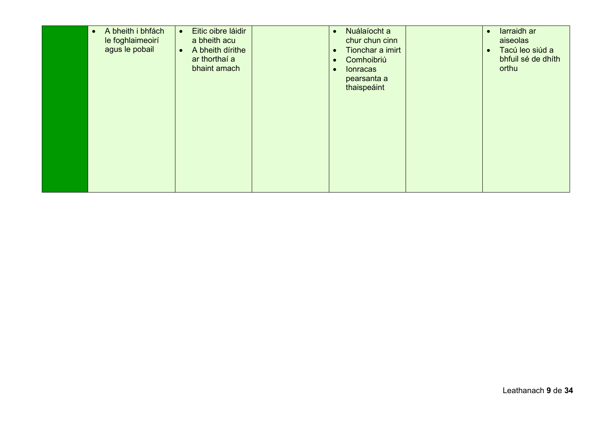| A bheith i bhfách<br>$\bullet$<br>$\bullet$<br>le foghlaimeoirí<br>agus le pobail<br>$\bullet$ | Eitic oibre láidir<br>Nuálaíocht a<br>$\bullet$<br>chur chun cinn<br>a bheith acu<br>A bheith dírithe<br>Tionchar a imirt<br>ar thorthaí a<br>Comhoibriú<br>bhaint amach<br><b>Ionracas</b><br>pearsanta a<br>thaispeáint | larraidh ar<br>$\bullet$<br>aiseolas<br>Tacú leo siúd a<br>bhfuil sé de dhíth<br>orthu |
|------------------------------------------------------------------------------------------------|---------------------------------------------------------------------------------------------------------------------------------------------------------------------------------------------------------------------------|----------------------------------------------------------------------------------------|
|------------------------------------------------------------------------------------------------|---------------------------------------------------------------------------------------------------------------------------------------------------------------------------------------------------------------------------|----------------------------------------------------------------------------------------|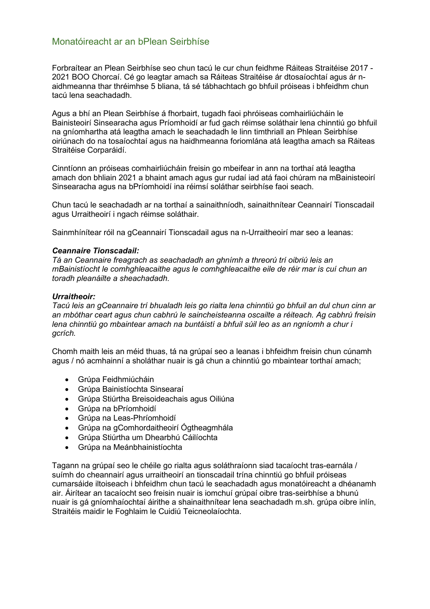#### <span id="page-9-0"></span>Monatóireacht ar an bPlean Seirbhíse

Forbraítear an Plean Seirbhíse seo chun tacú le cur chun feidhme Ráiteas Straitéise 2017 - 2021 BOO Chorcaí. Cé go leagtar amach sa Ráiteas Straitéise ár dtosaíochtaí agus ár naidhmeanna thar thréimhse 5 bliana, tá sé tábhachtach go bhfuil próiseas i bhfeidhm chun tacú lena seachadadh.

Agus a bhí an Plean Seirbhíse á fhorbairt, tugadh faoi phróiseas comhairliúcháin le Bainisteoirí Sinsearacha agus Príomhoidí ar fud gach réimse soláthair lena chinntiú go bhfuil na gníomhartha atá leagtha amach le seachadadh le linn timthriall an Phlean Seirbhíse oiriúnach do na tosaíochtaí agus na haidhmeanna foriomlána atá leagtha amach sa Ráiteas Straitéise Corparáidí.

Cinntíonn an próiseas comhairliúcháin freisin go mbeifear in ann na torthaí atá leagtha amach don bhliain 2021 a bhaint amach agus gur rudaí iad atá faoi chúram na mBainisteoirí Sinsearacha agus na bPríomhoidí ina réimsí soláthar seirbhíse faoi seach.

Chun tacú le seachadadh ar na torthaí a sainaithníodh, sainaithnítear Ceannairí Tionscadail agus Urraitheoirí i ngach réimse soláthair.

Sainmhínítear róil na gCeannairí Tionscadail agus na n-Urraitheoirí mar seo a leanas:

#### *Ceannaire Tionscadail:*

*Tá an Ceannaire freagrach as seachadadh an ghnímh a threorú trí oibriú leis an mBainistíocht le comhghleacaithe agus le comhghleacaithe eile de réir mar is cuí chun an toradh pleanáilte a sheachadadh.* 

#### *Urraitheoir:*

*Tacú leis an gCeannaire trí bhualadh leis go rialta lena chinntiú go bhfuil an dul chun cinn ar an mbóthar ceart agus chun cabhrú le saincheisteanna oscailte a réiteach. Ag cabhrú freisin lena chinntiú go mbaintear amach na buntáistí a bhfuil súil leo as an ngníomh a chur i gcrích.*

Chomh maith leis an méid thuas, tá na grúpaí seo a leanas i bhfeidhm freisin chun cúnamh agus / nó acmhainní a sholáthar nuair is gá chun a chinntiú go mbaintear torthaí amach;

- Grúpa Feidhmiúcháin
- Grúpa Bainistíochta Sinsearaí
- Grúpa Stiúrtha Breisoideachais agus Oiliúna
- Grúpa na bPríomhoidí
- Grúpa na Leas-Phríomhoidí
- Grúpa na gComhordaitheoirí Ógtheagmhála
- Grúpa Stiúrtha um Dhearbhú Cáilíochta
- Grúpa na Meánbhainistíochta

Tagann na grúpaí seo le chéile go rialta agus soláthraíonn siad tacaíocht tras-earnála / suímh do cheannairí agus urraitheoirí an tionscadail trína chinntiú go bhfuil próiseas cumarsáide iltoiseach i bhfeidhm chun tacú le seachadadh agus monatóireacht a dhéanamh air. Áirítear an tacaíocht seo freisin nuair is iomchuí grúpaí oibre tras-seirbhíse a bhunú nuair is gá gníomhaíochtaí áirithe a shainaithnítear lena seachadadh m.sh. grúpa oibre inlín, Straitéis maidir le Foghlaim le Cuidiú Teicneolaíochta.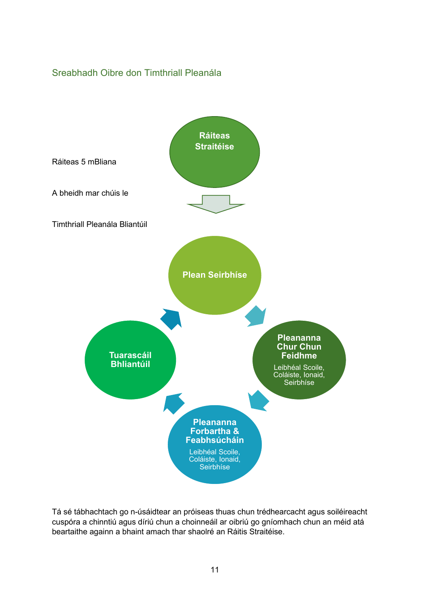## <span id="page-10-0"></span>Sreabhadh Oibre don Timthriall Pleanála



Tá sé tábhachtach go n-úsáidtear an próiseas thuas chun trédhearcacht agus soiléireacht cuspóra a chinntiú agus díriú chun a choinneáil ar oibriú go gníomhach chun an méid atá beartaithe againn a bhaint amach thar shaolré an Ráitis Straitéise.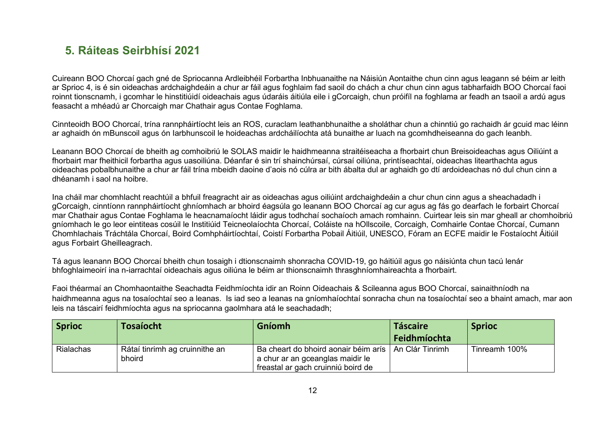# **5. Ráiteas Seirbhísí 2021**

Cuireann BOO Chorcaí gach gné de Spriocanna Ardleibhéil Forbartha Inbhuanaithe na Náisiún Aontaithe chun cinn agus leagann sé béim ar leith ar Sprioc 4, is é sin oideachas ardchaighdeáin a chur ar fáil agus foghlaim fad saoil do chách a chur chun cinn agus tabharfaidh BOO Chorcaí faoi roinnt tionscnamh, i gcomhar le hinstitiúidí oideachais agus údaráis áitiúla eile i gCorcaigh, chun próifíl na foghlama ar feadh an tsaoil a ardú agus feasacht a mhéadú ar Chorcaigh mar Chathair agus Contae Foghlama.

Cinnteoidh BOO Chorcaí, trína rannpháirtíocht leis an ROS, curaclam leathanbhunaithe a sholáthar chun a chinntiú go rachaidh ár gcuid mac léinn ar aghaidh ón mBunscoil agus ón Iarbhunscoil le hoideachas ardcháilíochta atá bunaithe ar luach na gcomhdheiseanna do gach leanbh.

Leanann BOO Chorcaí de bheith ag comhoibriú le SOLAS maidir le haidhmeanna straitéiseacha a fhorbairt chun Breisoideachas agus Oiliúint a fhorbairt mar fheithicil forbartha agus uasoiliúna. Déanfar é sin trí shainchúrsaí, cúrsaí oiliúna, printíseachtaí, oideachas litearthachta agus oideachas pobalbhunaithe a chur ar fáil trína mbeidh daoine d'aois nó cúlra ar bith ábalta dul ar aghaidh go dtí ardoideachas nó dul chun cinn a dhéanamh i saol na hoibre.

<span id="page-11-0"></span>Ina cháil mar chomhlacht reachtúil a bhfuil freagracht air as oideachas agus oiliúint ardchaighdeáin a chur chun cinn agus a sheachadadh i gCorcaigh, cinntíonn rannpháirtíocht ghníomhach ar bhoird éagsúla go leanann BOO Chorcaí ag cur agus ag fás go dearfach le forbairt Chorcaí mar Chathair agus Contae Foghlama le heacnamaíocht láidir agus todhchaí sochaíoch amach romhainn. Cuirtear leis sin mar gheall ar chomhoibriú gníomhach le go leor eintiteas cosúil le Institiúid Teicneolaíochta Chorcaí, Coláiste na hOllscoile, Corcaigh, Comhairle Contae Chorcaí, Cumann Chomhlachais Tráchtála Chorcaí, Boird Comhpháirtíochtaí, Coistí Forbartha Pobail Áitiúil, UNESCO, Fóram an ECFE maidir le Fostaíocht Áitiúil agus Forbairt Gheilleagrach.

Tá agus leanann BOO Chorcaí bheith chun tosaigh i dtionscnaimh shonracha COVID-19, go háitiúil agus go náisiúnta chun tacú lenár bhfoghlaimeoirí ina n-iarrachtaí oideachais agus oiliúna le béim ar thionscnaimh thrasghníomhaireachta a fhorbairt.

Faoi théarmaí an Chomhaontaithe Seachadta Feidhmíochta idir an Roinn Oideachais & Scileanna agus BOO Chorcaí, sainaithníodh na haidhmeanna agus na tosaíochtaí seo a leanas. Is iad seo a leanas na gníomhaíochtaí sonracha chun na tosaíochtaí seo a bhaint amach, mar aon leis na táscairí feidhmíochta agus na spriocanna gaolmhara atá le seachadadh;

| <b>Sprioc</b>    | Tosaíocht                                | <b>Gníomh</b>                                                                                                    | <b>Táscaire</b>  | <b>Sprioc</b> |
|------------------|------------------------------------------|------------------------------------------------------------------------------------------------------------------|------------------|---------------|
|                  |                                          |                                                                                                                  | Feidhmíochta     |               |
| <b>Rialachas</b> | Rátaí tinrimh ag cruinnithe an<br>bhoird | Ba cheart do bhoird aonair béim arís  <br>a chur ar an gceanglas maidir le<br>freastal ar gach cruinniú boird de | LAn Clár Tinrimh | Tinreamh 100% |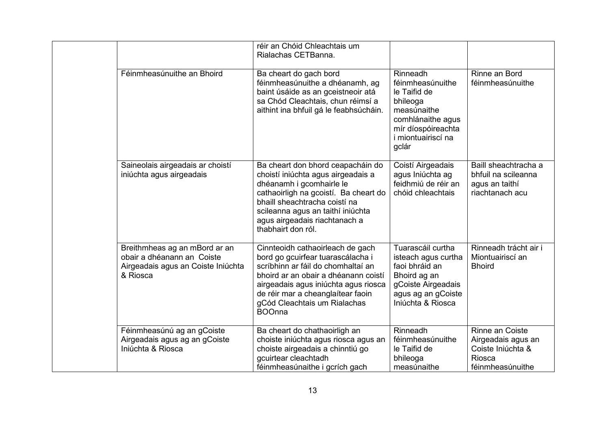|                                                                                                               | réir an Chóid Chleachtais um<br>Rialachas CETBanna.                                                                                                                                                                                                                               |                                                                                                                                                          |                                                                                                 |
|---------------------------------------------------------------------------------------------------------------|-----------------------------------------------------------------------------------------------------------------------------------------------------------------------------------------------------------------------------------------------------------------------------------|----------------------------------------------------------------------------------------------------------------------------------------------------------|-------------------------------------------------------------------------------------------------|
| Féinmheasúnuithe an Bhoird                                                                                    | Ba cheart do gach bord<br>féinmheasúnuithe a dhéanamh, ag<br>baint úsáide as an gceistneoir atá<br>sa Chód Cleachtais, chun réimsí a<br>aithint ina bhfuil gá le feabhsúcháin.                                                                                                    | Rinneadh<br>féinmheasúnuithe<br>le Taifid de<br>bhileoga<br>measúnaithe<br>comhlánaithe agus<br>mír díospóireachta<br><i>i</i> miontuairiscí na<br>gclár | Rinne an Bord<br>féinmheasúnuithe                                                               |
| Saineolais airgeadais ar choistí<br>iniúchta agus airgeadais                                                  | Ba cheart don bhord ceapacháin do<br>choistí iniúchta agus airgeadais a<br>dhéanamh i gcomhairle le<br>cathaoirligh na gcoistí. Ba cheart do<br>bhaill sheachtracha coistí na<br>scileanna agus an taithí iniúchta<br>agus airgeadais riachtanach a<br>thabhairt don ról.         | Coistí Airgeadais<br>agus Iniúchta ag<br>feidhmiú de réir an<br>chóid chleachtais                                                                        | Baill sheachtracha a<br>bhfuil na scileanna<br>agus an taithí<br>riachtanach acu                |
| Breithmheas ag an mBord ar an<br>obair a dhéanann an Coiste<br>Airgeadais agus an Coiste Iniúchta<br>& Riosca | Cinnteoidh cathaoirleach de gach<br>bord go gcuirfear tuarascálacha i<br>scríbhinn ar fáil do chomhaltaí an<br>bhoird ar an obair a dhéanann coistí<br>airgeadais agus iniúchta agus riosca<br>de réir mar a cheanglaítear faoin<br>gCód Cleachtais um Rialachas<br><b>BOOnna</b> | Tuarascáil curtha<br>isteach agus curtha<br>faoi bhráid an<br>Bhoird ag an<br>gCoiste Airgeadais<br>agus ag an gCoiste<br>Iniúchta & Riosca              | Rinneadh trácht air i<br>Miontuairiscí an<br><b>Bhoird</b>                                      |
| Féinmheasúnú ag an gCoiste<br>Airgeadais agus ag an gCoiste<br>Iniúchta & Riosca                              | Ba cheart do chathaoirligh an<br>choiste iniúchta agus riosca agus an<br>choiste airgeadais a chinntiú go<br>gcuirtear cleachtadh<br>féinmheasúnaithe i gcrích gach                                                                                                               | Rinneadh<br>féinmheasúnuithe<br>le Taifid de<br>bhileoga<br>measúnaithe                                                                                  | Rinne an Coiste<br>Airgeadais agus an<br>Coiste Iniúchta &<br><b>Riosca</b><br>féinmheasúnuithe |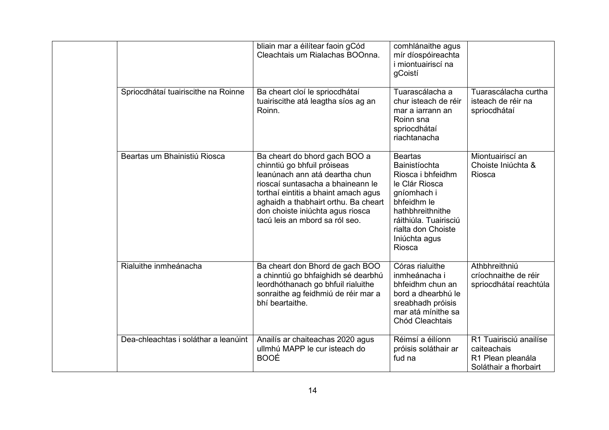|                                      | bliain mar a éilítear faoin gCód<br>Cleachtais um Rialachas BOOnna.                                                                                                                                                                                                                       | comhlánaithe agus<br>mír díospóireachta<br><i>i</i> miontuairiscí na<br>gCoistí                                                                                                                           |                                                                                     |
|--------------------------------------|-------------------------------------------------------------------------------------------------------------------------------------------------------------------------------------------------------------------------------------------------------------------------------------------|-----------------------------------------------------------------------------------------------------------------------------------------------------------------------------------------------------------|-------------------------------------------------------------------------------------|
| Spriocdhátaí tuairiscithe na Roinne  | Ba cheart cloí le spriocdhátaí<br>tuairiscithe atá leagtha síos ag an<br>Roinn.                                                                                                                                                                                                           | Tuarascálacha a<br>chur isteach de réir<br>mar a jarrann an<br>Roinn sna<br>spriocdhátaí<br>riachtanacha                                                                                                  | Tuarascálacha curtha<br>isteach de réir na<br>spriocdhátaí                          |
| Beartas um Bhainistiú Riosca         | Ba cheart do bhord gach BOO a<br>chinntiú go bhfuil próiseas<br>leanúnach ann atá deartha chun<br>rioscaí suntasacha a bhaineann le<br>torthaí eintitis a bhaint amach agus<br>aghaidh a thabhairt orthu. Ba cheart<br>don choiste iniúchta agus riosca<br>tacú leis an mbord sa ról seo. | <b>Beartas</b><br>Bainistíochta<br>Riosca i bhfeidhm<br>le Clár Riosca<br>gníomhach i<br>bhfeidhm le<br>hathbhreithnithe<br>ráithiúla. Tuairisciú<br>rialta don Choiste<br>Iniúchta agus<br><b>Riosca</b> | Miontuairiscí an<br>Choiste Iniúchta &<br>Riosca                                    |
| Rialuithe inmheánacha                | Ba cheart don Bhord de gach BOO<br>a chinntiú go bhfaighidh sé dearbhú<br>leordhóthanach go bhfuil rialuithe<br>sonraithe ag feidhmiú de réir mar a<br>bhí beartaithe.                                                                                                                    | Córas rialuithe<br>inmheánacha i<br>bhfeidhm chun an<br>bord a dhearbhú le<br>sreabhadh próisis<br>mar atá mínithe sa<br>Chód Cleachtais                                                                  | Athbhreithniú<br>críochnaithe de réir<br>spriocdhátaí reachtúla                     |
| Dea-chleachtas i soláthar a leanúint | Anailís ar chaiteachas 2020 agus<br>ullmhú MAPP le cur isteach do<br><b>BOOÉ</b>                                                                                                                                                                                                          | Réimsí a éilíonn<br>próisis soláthair ar<br>fud na                                                                                                                                                        | R1 Tuairisciú anailíse<br>caiteachais<br>R1 Plean pleanála<br>Soláthair a fhorbairt |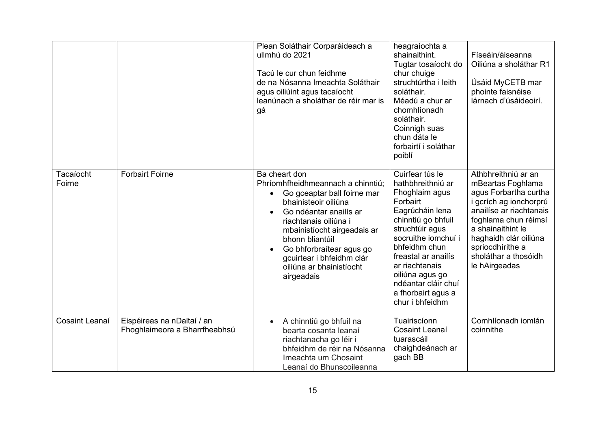|                     |                                                             | Plean Soláthair Corparáideach a<br>ullmhú do 2021<br>Tacú le cur chun feidhme<br>de na Nósanna Imeachta Soláthair<br>agus oiliúint agus tacaíocht<br>leanúnach a sholáthar de réir mar is<br>gá                                                                                                                                             | heagraíochta a<br>shainaithint.<br>Tugtar tosaíocht do<br>chur chuige<br>struchtúrtha i leith<br>soláthair.<br>Méadú a chur ar<br>chomhlíonadh<br>soláthair.<br>Coinnigh suas<br>chun dáta le<br>forbairtí i soláthar<br>poiblí                                                                    | Físeáin/áiseanna<br>Oiliúna a sholáthar R1<br>Úsáid MyCETB mar<br>phointe faisnéise<br>lárnach d'úsáideoirí.                                                                                                                                              |
|---------------------|-------------------------------------------------------------|---------------------------------------------------------------------------------------------------------------------------------------------------------------------------------------------------------------------------------------------------------------------------------------------------------------------------------------------|----------------------------------------------------------------------------------------------------------------------------------------------------------------------------------------------------------------------------------------------------------------------------------------------------|-----------------------------------------------------------------------------------------------------------------------------------------------------------------------------------------------------------------------------------------------------------|
| Tacaíocht<br>Foirne | <b>Forbairt Foirne</b>                                      | Ba cheart don<br>Phríomhfheidhmeannach a chinntiú;<br>Go gceaptar ball foirne mar<br>$\bullet$<br>bhainisteoir oiliúna<br>Go ndéantar anailís ar<br>riachtanais oiliúna i<br>mbainistíocht airgeadais ar<br>bhonn bliantúil<br>Go bhforbraítear agus go<br>$\bullet$<br>gcuirtear i bhfeidhm clár<br>oiliúna ar bhainistíocht<br>airgeadais | Cuirfear tús le<br>hathbhreithniú ar<br>Fhoghlaim agus<br>Forbairt<br>Eagrúcháin lena<br>chinntiú go bhfuil<br>struchtúir agus<br>socruithe iomchuí i<br>bhfeidhm chun<br>freastal ar anailís<br>ar riachtanais<br>oiliúna agus go<br>ndéantar cláir chuí<br>a fhorbairt agus a<br>chur i bhfeidhm | Athbhreithniú ar an<br>mBeartas Foghlama<br>agus Forbartha curtha<br>i gcrích ag ionchorprú<br>anailíse ar riachtanais<br>foghlama chun réimsí<br>a shainaithint le<br>haghaidh clár oiliúna<br>spriocdhírithe a<br>sholáthar a thosóidh<br>le hAirgeadas |
| Cosaint Leanaí      | Eispéireas na nDaltaí / an<br>Fhoghlaimeora a Bharrfheabhsú | A chinntiú go bhfuil na<br>$\bullet$<br>bearta cosanta leanaí<br>riachtanacha go léir i<br>bhfeidhm de réir na Nósanna<br>Imeachta um Chosaint<br>Leanaí do Bhunscoileanna                                                                                                                                                                  | Tuairiscíonn<br>Cosaint Leanaí<br>tuarascáil<br>chaighdeánach ar<br>gach BB                                                                                                                                                                                                                        | Comhlíonadh iomlán<br>coinnithe                                                                                                                                                                                                                           |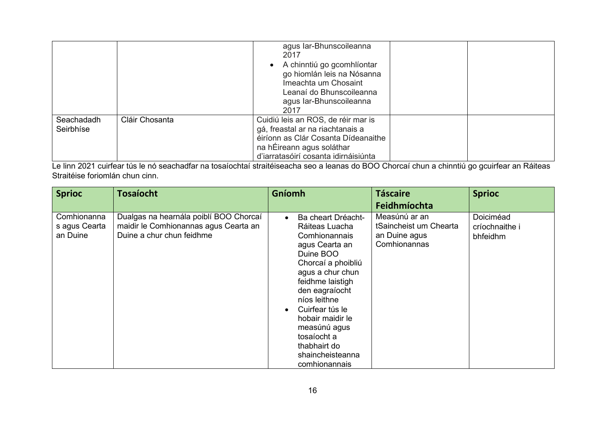|                         |                | agus Iar-Bhunscoileanna<br>2017<br>• A chinntiú go gcomhlíontar<br>go hiomlán leis na Nósanna<br>Imeachta um Chosaint<br>Leanaí do Bhunscoileanna<br>agus Iar-Bhunscoileanna<br>2017 |  |
|-------------------------|----------------|--------------------------------------------------------------------------------------------------------------------------------------------------------------------------------------|--|
| Seachadadh<br>Seirbhíse | Cláir Chosanta | Cuidiú leis an ROS, de réir mar is<br>gá, freastal ar na riachtanais a<br>éiríonn as Clár Cosanta Dídeanaithe<br>na hÉireann agus soláthar<br>d'iarratasóirí cosanta idirnáisiúnta   |  |

Le linn 2021 cuirfear tús le nó seachadfar na tosaíochtaí straitéiseacha seo a leanas do BOO Chorcaí chun a chinntiú go gcuirfear an Ráiteas Straitéise foriomlán chun cinn.

| <b>Sprioc</b>                            | <b>Tosaíocht</b>                                                                                             | Gníomh                                                                                                                                                                                                                                                                                                          | <b>Táscaire</b><br>Feidhmíochta                                          | <b>Sprioc</b>                           |
|------------------------------------------|--------------------------------------------------------------------------------------------------------------|-----------------------------------------------------------------------------------------------------------------------------------------------------------------------------------------------------------------------------------------------------------------------------------------------------------------|--------------------------------------------------------------------------|-----------------------------------------|
| Comhionanna<br>s agus Cearta<br>an Duine | Dualgas na hearnála poiblí BOO Chorcaí<br>maidir le Comhionannas agus Cearta an<br>Duine a chur chun feidhme | Ba cheart Dréacht-<br>Ráiteas Luacha<br>Comhionannais<br>agus Cearta an<br>Duine BOO<br>Chorcaí a phoibliú<br>agus a chur chun<br>feidhme laistigh<br>den eagraíocht<br>níos leithne<br>Cuirfear tús le<br>hobair maidir le<br>measúnú agus<br>tosaíocht a<br>thabhairt do<br>shaincheisteanna<br>comhionannais | Measúnú ar an<br>tSaincheist um Chearta<br>an Duine agus<br>Comhionannas | Doiciméad<br>críochnaithe i<br>bhfeidhm |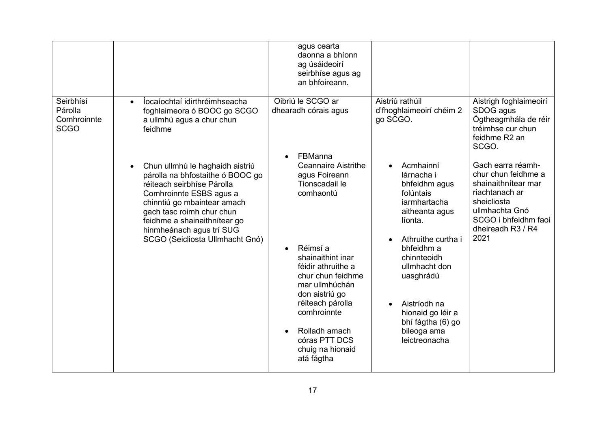|                                                    |                                                                                                                                                                                                                                                                                         | agus cearta<br>daonna a bhíonn<br>ag úsáideoirí<br>seirbhíse agus ag<br>an bhfoireann.                                                                                                                                                                                                                                    |                                                                                                                                                                                                                                                                                            |                                                                                                                                                                         |
|----------------------------------------------------|-----------------------------------------------------------------------------------------------------------------------------------------------------------------------------------------------------------------------------------------------------------------------------------------|---------------------------------------------------------------------------------------------------------------------------------------------------------------------------------------------------------------------------------------------------------------------------------------------------------------------------|--------------------------------------------------------------------------------------------------------------------------------------------------------------------------------------------------------------------------------------------------------------------------------------------|-------------------------------------------------------------------------------------------------------------------------------------------------------------------------|
| Seirbhísí<br>Párolla<br>Comhroinnte<br><b>SCGO</b> | locaíochtaí idirthréimhseacha<br>$\bullet$<br>foghlaimeora ó BOOC go SCGO<br>a ullmhú agus a chur chun<br>feidhme                                                                                                                                                                       | Oibriú le SCGO ar<br>dhearadh córais agus                                                                                                                                                                                                                                                                                 | Aistriú rathúil<br>d'fhoghlaimeoirí chéim 2<br>go SCGO.                                                                                                                                                                                                                                    | Aistrigh foghlaimeoirí<br>SDOG agus<br>Ógtheagmhála de réir<br>tréimhse cur chun<br>feidhme R2 an<br>SCGO.                                                              |
|                                                    | Chun ullmhú le haghaidh aistriú<br>párolla na bhfostaithe ó BOOC go<br>réiteach seirbhíse Párolla<br>Comhroinnte ESBS agus a<br>chinntiú go mbaintear amach<br>gach tasc roimh chur chun<br>feidhme a shainaithnítear go<br>hinmheánach agus trí SUG<br>SCGO (Seicliosta Ullmhacht Gnó) | FBManna<br><b>Ceannaire Aistrithe</b><br>agus Foireann<br>Tionscadail le<br>comhaontú<br>Réimsí a<br>$\bullet$<br>shainaithint inar<br>féidir athruithe a<br>chur chun feidhme<br>mar ullmhúchán<br>don aistriú go<br>réiteach párolla<br>comhroinnte<br>Rolladh amach<br>córas PTT DCS<br>chuig na hionaid<br>atá fágtha | Acmhainní<br>lárnacha i<br>bhfeidhm agus<br>folúntais<br>iarmhartacha<br>aitheanta agus<br>líonta.<br>Athruithe curtha i<br>bhfeidhm a<br>chinnteoidh<br>ullmhacht don<br>uasghrádú<br>Aistríodh na<br>$\bullet$<br>hionaid go léir a<br>bhí fágtha (6) go<br>bileoga ama<br>leictreonacha | Gach earra réamh-<br>chur chun feidhme a<br>shainaithnítear mar<br>riachtanach ar<br>sheicliosta<br>ullmhachta Gnó<br>SCGO i bhfeidhm faoi<br>dheireadh R3 / R4<br>2021 |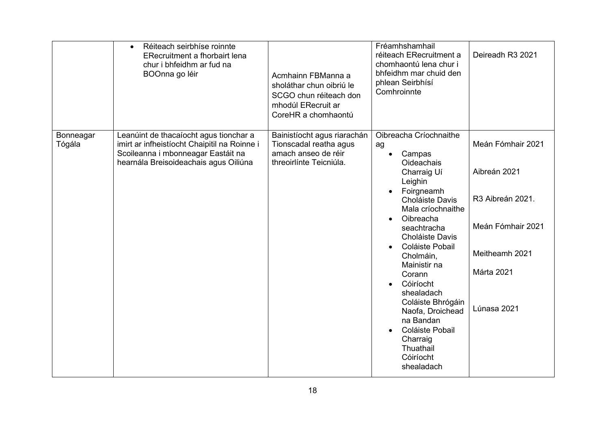|                     | Réiteach seirbhíse roinnte<br>$\bullet$<br><b>ERecruitment a fhorbairt lena</b><br>chur i bhfeidhm ar fud na<br>BOOnna go léir                                        | Acmhainn FBManna a<br>sholáthar chun oibriú le<br>SCGO chun réiteach don<br>mhodúl ERecruit ar<br>CoreHR a chomhaontú | Fréamhshamhail<br>réiteach ERecruitment a<br>chomhaontú lena chur i<br>bhfeidhm mar chuid den<br>phlean Seirbhísí<br>Comhroinnte                                                                                                                                                                                                                                                                                                                                              | Deireadh R3 2021                                                                                                          |
|---------------------|-----------------------------------------------------------------------------------------------------------------------------------------------------------------------|-----------------------------------------------------------------------------------------------------------------------|-------------------------------------------------------------------------------------------------------------------------------------------------------------------------------------------------------------------------------------------------------------------------------------------------------------------------------------------------------------------------------------------------------------------------------------------------------------------------------|---------------------------------------------------------------------------------------------------------------------------|
| Bonneagar<br>Tógála | Leanúint de thacaíocht agus tionchar a<br>imirt ar infheistíocht Chaipitil na Roinne i<br>Scoileanna i mbonneagar Eastáit na<br>hearnála Breisoideachais agus Oiliúna | Bainistíocht agus riarachán<br>Tionscadal reatha agus<br>amach anseo de réir<br>threoirlínte Teicniúla.               | Oibreacha Críochnaithe<br>ag<br>Campas<br>$\bullet$<br><b>Oideachais</b><br>Charraig Uí<br>Leighin<br>Foirgneamh<br>$\bullet$<br>Choláiste Davis<br>Mala críochnaithe<br>Oibreacha<br>$\bullet$<br>seachtracha<br>Choláiste Davis<br>Coláiste Pobail<br>Cholmáin,<br>Mainistir na<br>Corann<br>Cóiríocht<br>$\bullet$<br>shealadach<br>Coláiste Bhrógáin<br>Naofa, Droichead<br>na Bandan<br>Coláiste Pobail<br>$\bullet$<br>Charraig<br>Thuathail<br>Cóiríocht<br>shealadach | Meán Fómhair 2021<br>Aibreán 2021<br>R3 Aibreán 2021.<br>Meán Fómhair 2021<br>Meitheamh 2021<br>Márta 2021<br>Lúnasa 2021 |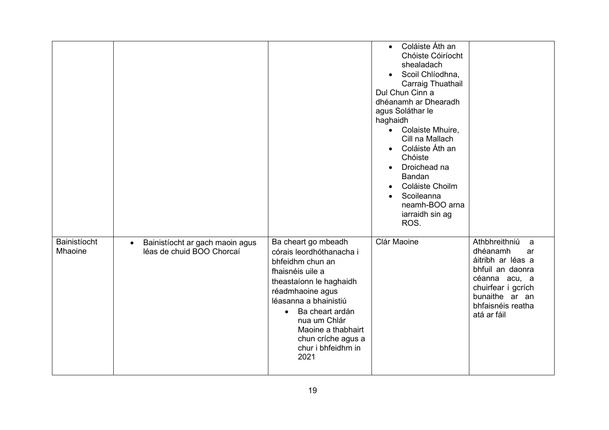|                         |                                                                           |                                                                                                                                                                                                                                                                                           | Coláiste Áth an<br>$\bullet$<br>Chóiste Cóiríocht<br>shealadach<br>Scoil Chlíodhna,<br>Carraig Thuathail<br>Dul Chun Cinn a<br>dhéanamh ar Dhearadh<br>agus Soláthar le<br>haghaidh<br>Colaiste Mhuire,<br>$\bullet$<br>Cill na Mallach<br>Coláiste Áth an<br>$\bullet$<br>Chóiste<br>Droichead na<br>$\bullet$<br>Bandan<br>Coláiste Choilm<br>Scoileanna<br>neamh-BOO arna<br>iarraidh sin ag<br>ROS. |                                                                                                                                                                            |
|-------------------------|---------------------------------------------------------------------------|-------------------------------------------------------------------------------------------------------------------------------------------------------------------------------------------------------------------------------------------------------------------------------------------|---------------------------------------------------------------------------------------------------------------------------------------------------------------------------------------------------------------------------------------------------------------------------------------------------------------------------------------------------------------------------------------------------------|----------------------------------------------------------------------------------------------------------------------------------------------------------------------------|
| Bainistíocht<br>Mhaoine | Bainistíocht ar gach maoin agus<br>$\bullet$<br>léas de chuid BOO Chorcaí | Ba cheart go mbeadh<br>córais leordhóthanacha i<br>bhfeidhm chun an<br>fhaisnéis uile a<br>theastaíonn le haghaidh<br>réadmhaoine agus<br>léasanna a bhainistiú<br>Ba cheart ardán<br>$\bullet$<br>nua um Chlár<br>Maoine a thabhairt<br>chun críche agus a<br>chur i bhfeidhm in<br>2021 | Clár Maoine                                                                                                                                                                                                                                                                                                                                                                                             | Athbhreithniú<br>a<br>dhéanamh<br>ar<br>áitribh ar léas a<br>bhfuil an daonra<br>céanna acu, a<br>chuirfear i gcrích<br>bunaithe ar an<br>bhfaisnéis reatha<br>atá ar fáil |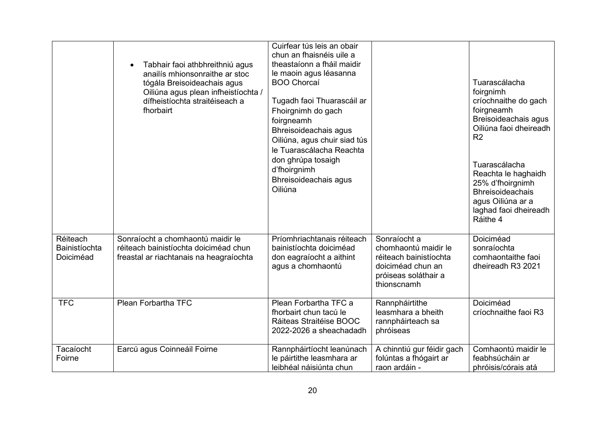|                                        | Tabhair faoi athbhreithniú agus<br>anailís mhionsonraithe ar stoc<br>tógála Breisoideachais agus<br>Oiliúna agus plean infheistíochta /<br>dífheistíochta straitéiseach a<br>fhorbairt | Cuirfear tús leis an obair<br>chun an fhaisnéis uile a<br>theastaíonn a fháil maidir<br>le maoin agus léasanna<br><b>BOO Chorcaí</b><br>Tugadh faoi Thuarascáil ar<br>Fhoirgnimh do gach<br>foirgneamh<br>Bhreisoideachais agus<br>Oiliúna, agus chuir siad tús<br>le Tuarascálacha Reachta<br>don ghrúpa tosaigh<br>d'fhoirgnimh<br>Bhreisoideachais agus<br>Oiliúna |                                                                                                                            | Tuarascálacha<br>foirgnimh<br>críochnaithe do gach<br>foirgneamh<br>Breisoideachais agus<br>Oiliúna faoi dheireadh<br>R <sub>2</sub><br>Tuarascálacha<br>Reachta le haghaidh<br>25% d'fhoirgnimh<br><b>Bhreisoideachais</b><br>agus Oiliúna ar a<br>laghad faoi dheireadh<br>Ráithe 4 |
|----------------------------------------|----------------------------------------------------------------------------------------------------------------------------------------------------------------------------------------|-----------------------------------------------------------------------------------------------------------------------------------------------------------------------------------------------------------------------------------------------------------------------------------------------------------------------------------------------------------------------|----------------------------------------------------------------------------------------------------------------------------|---------------------------------------------------------------------------------------------------------------------------------------------------------------------------------------------------------------------------------------------------------------------------------------|
| Réiteach<br>Bainistíochta<br>Doiciméad | Sonraíocht a chomhaontú maidir le<br>réiteach bainistíochta doiciméad chun<br>freastal ar riachtanais na heagraíochta                                                                  | Príomhriachtanais réiteach<br>bainistíochta doiciméad<br>don eagraíocht a aithint<br>agus a chomhaontú                                                                                                                                                                                                                                                                | Sonraíocht a<br>chomhaontú maidir le<br>réiteach bainistíochta<br>doiciméad chun an<br>próiseas soláthair a<br>thionscnamh | Doiciméad<br>sonraíochta<br>comhaontaithe faoi<br>dheireadh R3 2021                                                                                                                                                                                                                   |
| <b>TFC</b>                             | Plean Forbartha TFC                                                                                                                                                                    | Plean Forbartha TFC a<br>fhorbairt chun tacú le<br>Ráiteas Straitéise BOOC<br>2022-2026 a sheachadadh                                                                                                                                                                                                                                                                 | Rannpháirtithe<br>leasmhara a bheith<br>rannpháirteach sa<br>phróiseas                                                     | Doiciméad<br>críochnaithe faoi R3                                                                                                                                                                                                                                                     |
| Tacaíocht<br>Foirne                    | Earcú agus Coinneáil Foirne                                                                                                                                                            | Rannpháirtíocht leanúnach<br>le páirtithe leasmhara ar<br>leibhéal náisiúnta chun                                                                                                                                                                                                                                                                                     | A chinntiú gur féidir gach<br>folúntas a fhógairt ar<br>raon ardáin -                                                      | Comhaontú maidir le<br>feabhsúcháin ar<br>phróisis/córais atá                                                                                                                                                                                                                         |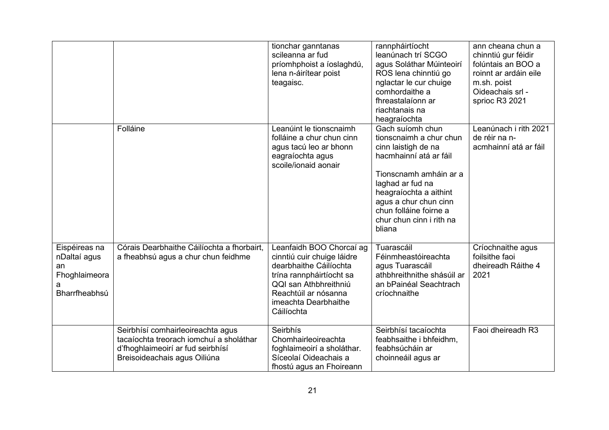|                                                                            |                                                                                                                                                   | tionchar ganntanas<br>scileanna ar fud<br>príomhphoist a íoslaghdú,<br>lena n-áirítear poist<br>teagaisc.                                                                                           | rannpháirtíocht<br>leanúnach trí SCGO<br>agus Soláthar Múinteoirí<br>ROS lena chinntiú go<br>nglactar le cur chuige<br>comhordaithe a<br>fhreastalaíonn ar<br>riachtanais na<br>heagraíochta                                                                  | ann cheana chun a<br>chinntiú gur féidir<br>folúntais an BOO a<br>roinnt ar ardáin eile<br>m.sh. poist<br>Oideachais srl -<br>sprioc R3 2021 |
|----------------------------------------------------------------------------|---------------------------------------------------------------------------------------------------------------------------------------------------|-----------------------------------------------------------------------------------------------------------------------------------------------------------------------------------------------------|---------------------------------------------------------------------------------------------------------------------------------------------------------------------------------------------------------------------------------------------------------------|----------------------------------------------------------------------------------------------------------------------------------------------|
|                                                                            | Folláine                                                                                                                                          | Leanúint le tionscnaimh<br>folláine a chur chun cinn<br>agus tacú leo ar bhonn<br>eagraíochta agus<br>scoile/ionaid aonair                                                                          | Gach suíomh chun<br>tionscnaimh a chur chun<br>cinn laistigh de na<br>hacmhainní atá ar fáil<br>Tionscnamh amháin ar a<br>laghad ar fud na<br>heagraíochta a aithint<br>agus a chur chun cinn<br>chun folláine foirne a<br>chur chun cinn i rith na<br>bliana | Leanúnach i rith 2021<br>de réir na n-<br>acmhainní atá ar fáil                                                                              |
| Eispéireas na<br>nDaltaí agus<br>an<br>Fhoghlaimeora<br>a<br>Bharrfheabhsú | Córais Dearbhaithe Cáilíochta a fhorbairt,<br>a fheabhsú agus a chur chun feidhme                                                                 | Leanfaidh BOO Chorcaí ag<br>cinntiú cuir chuige láidre<br>dearbhaithe Cáilíochta<br>trína rannpháirtíocht sa<br>QQI san Athbhreithniú<br>Reachtúil ar nósanna<br>imeachta Dearbhaithe<br>Cáilíochta | Tuarascáil<br>Féinmheastóireachta<br>agus Tuarascáil<br>athbhreithnithe shásúil ar<br>an bPainéal Seachtrach<br>críochnaithe                                                                                                                                  | Críochnaithe agus<br>foilsithe faoi<br>dheireadh Ráithe 4<br>2021                                                                            |
|                                                                            | Seirbhísí comhairleoireachta agus<br>tacaíochta treorach iomchuí a sholáthar<br>d'fhoghlaimeoirí ar fud seirbhísí<br>Breisoideachais agus Oiliúna | Seirbhís<br>Chomhairleoireachta<br>foghlaimeoirí a sholáthar.<br>Síceolaí Oideachais a<br>fhostú agus an Fhoireann                                                                                  | Seirbhísí tacaíochta<br>feabhsaithe i bhfeidhm,<br>feabhsúcháin ar<br>choinneáil agus ar                                                                                                                                                                      | Faoi dheireadh R3                                                                                                                            |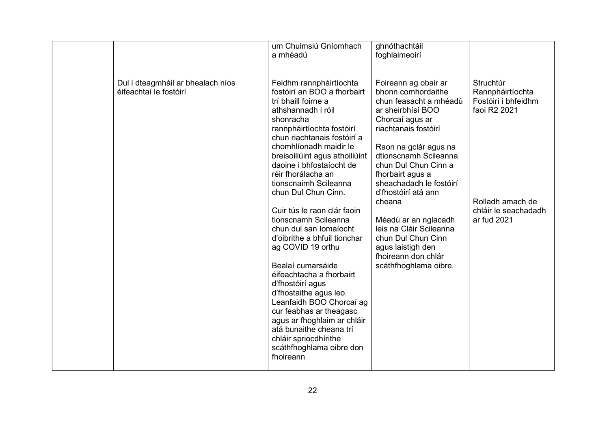|                                                             | um Chuimsiú Gníomhach<br>a mhéadú                                                                                                                                                                                                                                                                                                                                                                                                                                                                                                                                                                                                                                                                                                                                  | ghnóthachtáil<br>foghlaimeoirí                                                                                                                                                                                                                                                                                                                                                                                                               |                                                                                                                                 |
|-------------------------------------------------------------|--------------------------------------------------------------------------------------------------------------------------------------------------------------------------------------------------------------------------------------------------------------------------------------------------------------------------------------------------------------------------------------------------------------------------------------------------------------------------------------------------------------------------------------------------------------------------------------------------------------------------------------------------------------------------------------------------------------------------------------------------------------------|----------------------------------------------------------------------------------------------------------------------------------------------------------------------------------------------------------------------------------------------------------------------------------------------------------------------------------------------------------------------------------------------------------------------------------------------|---------------------------------------------------------------------------------------------------------------------------------|
| Dul i dteagmháil ar bhealach níos<br>éifeachtaí le fostóirí | Feidhm rannpháirtíochta<br>fostóirí an BOO a fhorbairt<br>trí bhaill foirne a<br>athshannadh i róil<br>shonracha<br>rannpháirtíochta fostóirí<br>chun riachtanais fostóirí a<br>chomhlíonadh maidir le<br>breisoiliúint agus athoiliúint<br>daoine i bhfostaíocht de<br>réir fhorálacha an<br>tionscnaimh Scileanna<br>chun Dul Chun Cinn.<br>Cuir tús le raon clár faoin<br>tionscnamh Scileanna<br>chun dul san Iomaíocht<br>d'oibrithe a bhfuil tionchar<br>ag COVID 19 orthu<br>Bealaí cumarsáide<br>éifeachtacha a fhorbairt<br>d'fhostóirí agus<br>d'fhostaithe agus leo.<br>Leanfaidh BOO Chorcaí ag<br>cur feabhas ar theagasc<br>agus ar fhoghlaim ar chláir<br>atá bunaithe cheana trí<br>chláir spriocdhírithe<br>scáthfhoghlama oibre don<br>fhoireann | Foireann ag obair ar<br>bhonn comhordaithe<br>chun feasacht a mhéadú<br>ar sheirbhísí BOO<br>Chorcaí agus ar<br>riachtanais fostóirí<br>Raon na gclár agus na<br>dtionscnamh Scileanna<br>chun Dul Chun Cinn a<br>fhorbairt agus a<br>sheachadadh le fostóirí<br>d'fhostóirí atá ann<br>cheana<br>Méadú ar an nglacadh<br>leis na Cláir Scileanna<br>chun Dul Chun Cinn<br>agus laistigh den<br>fhoireann don chlár<br>scáthfhoghlama oibre. | Struchtúr<br>Rannpháirtíochta<br>Fostóirí i bhfeidhm<br>faoi R2 2021<br>Rolladh amach de<br>chláir le seachadadh<br>ar fud 2021 |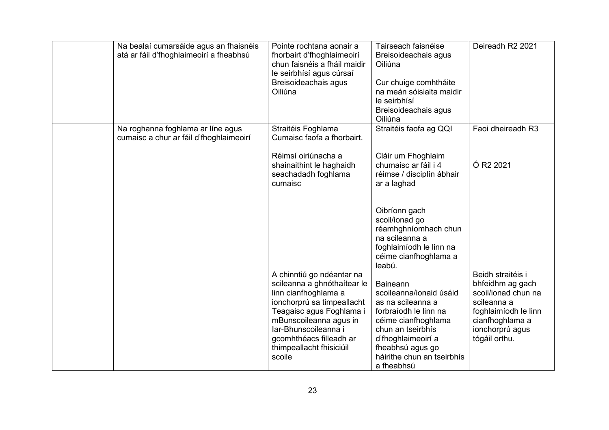| Na bealaí cumarsáide agus an fhaisnéis<br>atá ar fáil d'fhoghlaimeoirí a fheabhsú | Pointe rochtana aonair a<br>fhorbairt d'fhoghlaimeoirí<br>chun faisnéis a fháil maidir<br>le seirbhísí agus cúrsaí<br>Breisoideachais agus<br>Oiliúna                                                                                                         | Tairseach faisnéise<br>Breisoideachais agus<br>Oiliúna<br>Cur chuige comhtháite<br>na meán sóisialta maidir<br>le seirbhísí<br>Breisoideachais agus<br>Oiliúna                                                             | Deireadh R2 2021                                                                                                                                           |
|-----------------------------------------------------------------------------------|---------------------------------------------------------------------------------------------------------------------------------------------------------------------------------------------------------------------------------------------------------------|----------------------------------------------------------------------------------------------------------------------------------------------------------------------------------------------------------------------------|------------------------------------------------------------------------------------------------------------------------------------------------------------|
| Na roghanna foghlama ar líne agus<br>cumaisc a chur ar fáil d'fhoghlaimeoirí      | Straitéis Foghlama<br>Cumaisc faofa a fhorbairt.<br>Réimsí oiriúnacha a<br>shainaithint le haghaidh<br>seachadadh foghlama<br>cumaisc                                                                                                                         | Straitéis faofa ag QQI<br>Cláir um Fhoghlaim<br>chumaisc ar fáil i 4<br>réimse / disciplín ábhair<br>ar a laghad                                                                                                           | Faoi dheireadh R3<br>Ó R <sub>2</sub> 2021                                                                                                                 |
|                                                                                   |                                                                                                                                                                                                                                                               | Oibríonn gach<br>scoil/ionad go<br>réamhghníomhach chun<br>na scileanna a<br>foghlaimíodh le linn na<br>céime cianfhoghlama a<br>leabú.                                                                                    |                                                                                                                                                            |
|                                                                                   | A chinntiú go ndéantar na<br>scileanna a ghnóthaítear le<br>linn cianfhoghlama a<br>ionchorprú sa timpeallacht<br>Teagaisc agus Foghlama i<br>mBunscoileanna agus in<br>Iar-Bhunscoileanna i<br>gcomhthéacs filleadh ar<br>thimpeallacht fhisiciúil<br>scoile | <b>Baineann</b><br>scoileanna/ionaid úsáid<br>as na scileanna a<br>forbraíodh le linn na<br>céime cianfhoghlama<br>chun an tseirbhís<br>d'fhoghlaimeoirí a<br>fheabhsú agus go<br>háirithe chun an tseirbhís<br>a fheabhsú | Beidh straitéis i<br>bhfeidhm ag gach<br>scoil/ionad chun na<br>scileanna a<br>foghlaimíodh le linn<br>cianfhoghlama a<br>ionchorprú agus<br>tógáil orthu. |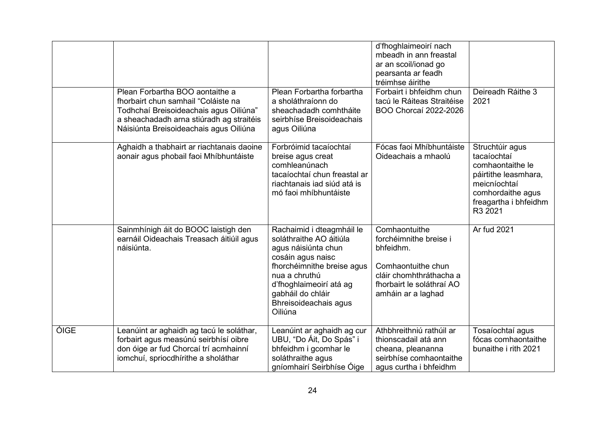|      |                                                                                                                                                                                                        |                                                                                                                                                                                                                                     | d'fhoghlaimeoirí nach<br>mbeadh in ann freastal<br>ar an scoil/ionad go<br>pearsanta ar feadh<br>tréimhse áirithe                                        |                                                                                                                                                     |
|------|--------------------------------------------------------------------------------------------------------------------------------------------------------------------------------------------------------|-------------------------------------------------------------------------------------------------------------------------------------------------------------------------------------------------------------------------------------|----------------------------------------------------------------------------------------------------------------------------------------------------------|-----------------------------------------------------------------------------------------------------------------------------------------------------|
|      | Plean Forbartha BOO aontaithe a<br>fhorbairt chun samhail "Coláiste na<br>Todhchaí Breisoideachais agus Oiliúna"<br>a sheachadadh arna stiúradh ag straitéis<br>Náisiúnta Breisoideachais agus Oiliúna | Plean Forbartha forbartha<br>a sholáthraíonn do<br>sheachadadh comhtháite<br>seirbhíse Breisoideachais<br>agus Oiliúna                                                                                                              | Forbairt i bhfeidhm chun<br>tacú le Ráiteas Straitéise<br>BOO Chorcaí 2022-2026                                                                          | Deireadh Ráithe 3<br>2021                                                                                                                           |
|      | Aghaidh a thabhairt ar riachtanais daoine<br>aonair agus phobail faoi Mhíbhuntáiste                                                                                                                    | Forbróimid tacaíochtaí<br>breise agus creat<br>comhleanúnach<br>tacaíochtaí chun freastal ar<br>riachtanais iad siúd atá is<br>mó faoi mhíbhuntáiste                                                                                | Fócas faoi Mhíbhuntáiste<br>Oideachais a mhaolú                                                                                                          | Struchtúir agus<br>tacaíochtaí<br>comhaontaithe le<br>páirtithe leasmhara,<br>meicníochtaí<br>comhordaithe agus<br>freagartha i bhfeidhm<br>R3 2021 |
|      | Sainmhínigh áit do BOOC laistigh den<br>earnáil Oideachais Treasach áitiúil agus<br>náisiúnta.                                                                                                         | Rachaimid i dteagmháil le<br>soláthraithe AO áitiúla<br>agus náisiúnta chun<br>cosáin agus naisc<br>fhorchéimnithe breise agus<br>nua a chruthú<br>d'fhoghlaimeoirí atá ag<br>gabháil do chláir<br>Bhreisoideachais agus<br>Oiliúna | Comhaontuithe<br>forchéimnithe breise i<br>bhfeidhm.<br>Comhaontuithe chun<br>cláir chomhthráthacha a<br>fhorbairt le soláthraí AO<br>amháin ar a laghad | Ar fud 2021                                                                                                                                         |
| ÓIGE | Leanúint ar aghaidh ag tacú le soláthar,<br>forbairt agus measúnú seirbhísí oibre<br>don óige ar fud Chorcaí trí acmhainní<br>iomchuí, spriocdhírithe a sholáthar                                      | Leanúint ar aghaidh ag cur<br>UBU, "Do Áit, Do Spás" i<br>bhfeidhm i gcomhar le<br>soláthraithe agus<br>gníomhairí Seirbhíse Óige                                                                                                   | Athbhreithniú rathúil ar<br>thionscadail atá ann<br>cheana, pleananna<br>seirbhíse comhaontaithe<br>agus curtha i bhfeidhm                               | Tosaíochtaí agus<br>fócas comhaontaithe<br>bunaithe i rith 2021                                                                                     |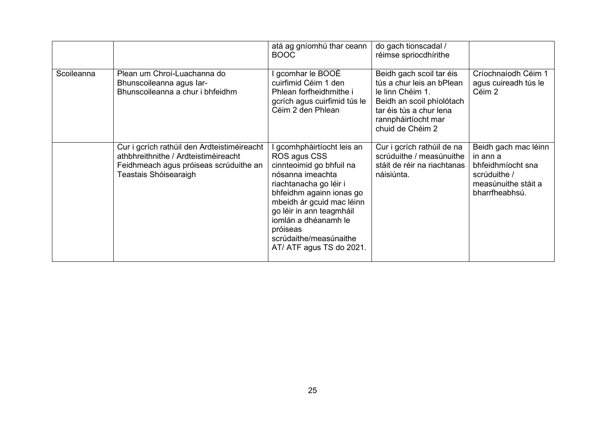|            |                                                                                                                                                        | atá ag gníomhú thar ceann<br><b>BOOC</b>                                                                                                                                                                                                                                                          | do gach tionscadal /<br>réimse spriocdhírithe                                                                                                                                |                                                                                                                |
|------------|--------------------------------------------------------------------------------------------------------------------------------------------------------|---------------------------------------------------------------------------------------------------------------------------------------------------------------------------------------------------------------------------------------------------------------------------------------------------|------------------------------------------------------------------------------------------------------------------------------------------------------------------------------|----------------------------------------------------------------------------------------------------------------|
| Scoileanna | Plean um Chroí-Luachanna do<br>Bhunscoileanna agus Iar-<br>Bhunscoileanna a chur i bhfeidhm                                                            | l gcomhar le BOOÉ<br>cuirfimid Céim 1 den<br>Phlean forfheidhmithe i<br>gcrích agus cuirfimid tús le<br>Céim 2 den Phlean                                                                                                                                                                         | Beidh gach scoil tar éis<br>tús a chur leis an bPlean<br>le linn Chéim 1.<br>Beidh an scoil phíolótach<br>tar éis tús a chur lena<br>rannpháirtíocht mar<br>chuid de Chéim 2 | Críochnaíodh Céim 1<br>agus cuireadh tús le<br>Céim 2                                                          |
|            | Cur i gcrích rathúil den Ardteistiméireacht<br>athbhreithnithe / Ardteistiméireacht<br>Feidhmeach agus próiseas scrúduithe an<br>Teastais Shóisearaigh | gcomhpháirtíocht leis an<br>ROS agus CSS<br>cinnteoimid go bhfuil na<br>nósanna imeachta<br>riachtanacha go léir i<br>bhfeidhm againn ionas go<br>mbeidh ár gcuid mac léinn<br>go léir in ann teagmháil<br>jomlán a dhéanamh le<br>próiseas<br>scrúdaithe/measúnaithe<br>AT/ ATF agus TS do 2021. | Cur i gcrích rathúil de na<br>scrúduithe / measúnuithe<br>stáit de réir na riachtanas<br>náisiúnta.                                                                          | Beidh gach mac léinn<br>in ann a<br>bhfeidhmíocht sna<br>scrúduithe /<br>measúnuithe stáit a<br>bharrfheabhsú. |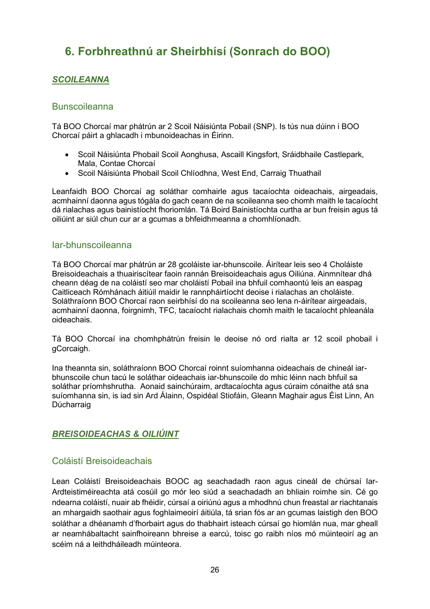# <span id="page-25-0"></span>**6. Forbhreathnú ar Sheirbhísí (Sonrach do BOO)**

## <span id="page-25-1"></span>*SCOILEANNA*

#### <span id="page-25-2"></span>**Bunscoileanna**

Tá BOO Chorcaí mar phátrún ar 2 Scoil Náisiúnta Pobail (SNP). Is tús nua dúinn i BOO Chorcaí páirt a ghlacadh i mbunoideachas in Éirinn.

- Scoil Náisiúnta Phobail Scoil Aonghusa, Ascaill Kingsfort, Sráidbhaile Castlepark, Mala, Contae Chorcaí
- Scoil Náisiúnta Phobail Scoil Chlíodhna, West End, Carraig Thuathail

Leanfaidh BOO Chorcaí ag soláthar comhairle agus tacaíochta oideachais, airgeadais, acmhainní daonna agus tógála do gach ceann de na scoileanna seo chomh maith le tacaíocht dá rialachas agus bainistíocht fhoriomlán. Tá Boird Bainistíochta curtha ar bun freisin agus tá oiliúint ar siúl chun cur ar a gcumas a bhfeidhmeanna a chomhlíonadh.

#### <span id="page-25-3"></span>Iar-bhunscoileanna

Tá BOO Chorcaí mar phátrún ar 28 gcoláiste iar-bhunscoile. Áirítear leis seo 4 Choláiste Breisoideachais a thuairiscítear faoin rannán Breisoideachais agus Oiliúna. Ainmnítear dhá cheann déag de na coláistí seo mar choláistí Pobail ina bhfuil comhaontú leis an easpag Caitliceach Rómhánach áitiúil maidir le rannpháirtíocht deoise i rialachas an choláiste. Soláthraíonn BOO Chorcaí raon seirbhísí do na scoileanna seo lena n-áirítear airgeadais, acmhainní daonna, foirgnimh, TFC, tacaíocht rialachais chomh maith le tacaíocht phleanála oideachais.

Tá BOO Chorcaí ina chomhphátrún freisin le deoise nó ord rialta ar 12 scoil phobail i gCorcaigh.

Ina theannta sin, soláthraíonn BOO Chorcaí roinnt suíomhanna oideachais de chineál iarbhunscoile chun tacú le soláthar oideachais iar-bhunscoile do mhic léinn nach bhfuil sa soláthar príomhshrutha. Aonaid sainchúraim, ardtacaíochta agus cúraim cónaithe atá sna suíomhanna sin, is iad sin Ard Álainn, Ospidéal Stiofáin, Gleann Maghair agus Éist Linn, An Dúcharraig

## <span id="page-25-4"></span>*BREISOIDEACHAS & OILIÚINT*

## <span id="page-25-5"></span>Coláistí Breisoideachais

Lean Coláistí Breisoideachais BOOC ag seachadadh raon agus cineál de chúrsaí Iar-Ardteistiméireachta atá cosúil go mór leo siúd a seachadadh an bhliain roimhe sin. Cé go ndearna coláistí, nuair ab fhéidir, cúrsaí a oiriúnú agus a mhodhnú chun freastal ar riachtanais an mhargaidh saothair agus foghlaimeoirí áitiúla, tá srian fós ar an gcumas laistigh den BOO soláthar a dhéanamh d'fhorbairt agus do thabhairt isteach cúrsaí go hiomlán nua, mar gheall ar neamhábaltacht sainfhoireann bhreise a earcú, toisc go raibh níos mó múinteoirí ag an scéim ná a leithdháileadh múinteora.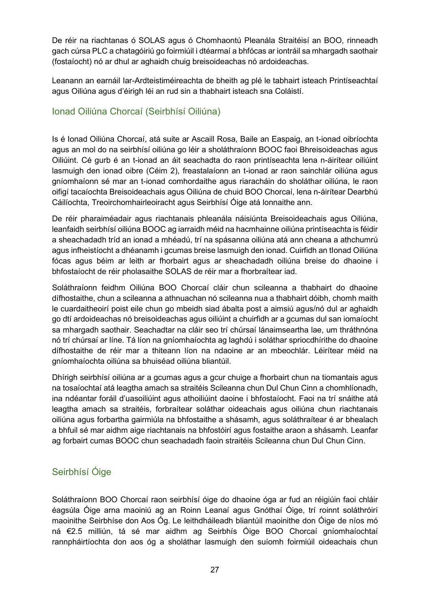De réir na riachtanas ó SOLAS agus ó Chomhaontú Pleanála Straitéisí an BOO, rinneadh gach cúrsa PLC a chatagóiriú go foirmiúil i dtéarmaí a bhfócas ar iontráil sa mhargadh saothair (fostaíocht) nó ar dhul ar aghaidh chuig breisoideachas nó ardoideachas.

Leanann an earnáil Iar-Ardteistiméireachta de bheith ag plé le tabhairt isteach Printíseachtaí agus Oiliúna agus d'éirigh léi an rud sin a thabhairt isteach sna Coláistí.

## <span id="page-26-0"></span>Ionad Oiliúna Chorcaí (Seirbhísí Oiliúna)

Is é Ionad Oiliúna Chorcaí, atá suite ar Ascaill Rosa, Baile an Easpaig, an t-ionad oibríochta agus an mol do na seirbhísí oiliúna go léir a sholáthraíonn BOOC faoi Bhreisoideachas agus Oiliúint. Cé gurb é an t-ionad an áit seachadta do raon printíseachta lena n-áirítear oiliúint lasmuigh den ionad oibre (Céim 2), freastalaíonn an t-ionad ar raon sainchlár oiliúna agus gníomhaíonn sé mar an t-ionad comhordaithe agus riaracháin do sholáthar oiliúna, le raon oifigí tacaíochta Breisoideachais agus Oiliúna de chuid BOO Chorcaí, lena n-áirítear Dearbhú Cáilíochta, Treoirchomhairleoiracht agus Seirbhísí Óige atá lonnaithe ann.

De réir pharaiméadair agus riachtanais phleanála náisiúnta Breisoideachais agus Oiliúna, leanfaidh seirbhísí oiliúna BOOC ag iarraidh méid na hacmhainne oiliúna printíseachta is féidir a sheachadadh tríd an ionad a mhéadú, trí na spásanna oiliúna atá ann cheana a athchumrú agus infheistíocht a dhéanamh i gcumas breise lasmuigh den ionad. Cuirfidh an tIonad Oiliúna fócas agus béim ar leith ar fhorbairt agus ar sheachadadh oiliúna breise do dhaoine i bhfostaíocht de réir pholasaithe SOLAS de réir mar a fhorbraítear iad.

Soláthraíonn feidhm Oiliúna BOO Chorcaí cláir chun scileanna a thabhairt do dhaoine dífhostaithe, chun a scileanna a athnuachan nó scileanna nua a thabhairt dóibh, chomh maith le cuardaitheoirí poist eile chun go mbeidh siad ábalta post a aimsiú agus/nó dul ar aghaidh go dtí ardoideachas nó breisoideachas agus oiliúint a chuirfidh ar a gcumas dul san iomaíocht sa mhargadh saothair. Seachadtar na cláir seo trí chúrsaí lánaimseartha lae, um thráthnóna nó trí chúrsaí ar líne. Tá líon na gníomhaíochta ag laghdú i soláthar spriocdhírithe do dhaoine dífhostaithe de réir mar a thiteann líon na ndaoine ar an mbeochlár. Léirítear méid na gníomhaíochta oiliúna sa bhuiséad oiliúna bliantúil.

Dhírigh seirbhísí oiliúna ar a gcumas agus a gcur chuige a fhorbairt chun na tiomantais agus na tosaíochtaí atá leagtha amach sa straitéis Scileanna chun Dul Chun Cinn a chomhlíonadh, ina ndéantar foráil d'uasoiliúint agus athoiliúint daoine i bhfostaíocht. Faoi na trí snáithe atá leagtha amach sa straitéis, forbraítear soláthar oideachais agus oiliúna chun riachtanais oiliúna agus forbartha gairmiúla na bhfostaithe a shásamh, agus soláthraítear é ar bhealach a bhfuil sé mar aidhm aige riachtanais na bhfostóirí agus fostaithe araon a shásamh. Leanfar ag forbairt cumas BOOC chun seachadadh faoin straitéis Scileanna chun Dul Chun Cinn.

## <span id="page-26-1"></span>Seirbhísí Óige

Soláthraíonn BOO Chorcaí raon seirbhísí óige do dhaoine óga ar fud an réigiúin faoi chláir éagsúla Óige arna maoiniú ag an Roinn Leanaí agus Gnóthaí Óige, trí roinnt soláthróirí maoinithe Seirbhíse don Aos Óg. Le leithdháileadh bliantúil maoinithe don Óige de níos mó ná €2.5 milliún, tá sé mar aidhm ag Seirbhís Óige BOO Chorcaí gníomhaíochtaí rannpháirtíochta don aos óg a sholáthar lasmuigh den suíomh foirmiúil oideachais chun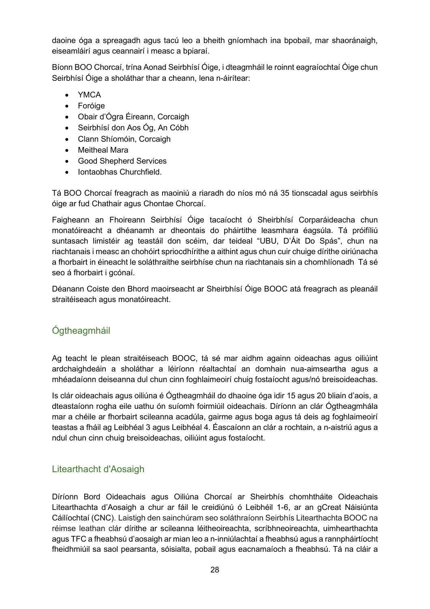daoine óga a spreagadh agus tacú leo a bheith gníomhach ina bpobail, mar shaoránaigh, eiseamláirí agus ceannairí i measc a bpiaraí.

Bíonn BOO Chorcaí, trína Aonad Seirbhísí Óige, i dteagmháil le roinnt eagraíochtaí Óige chun Seirbhísí Óige a sholáthar thar a cheann, lena n-áirítear:

- YMCA
- Foróige
- Obair d'Ógra Éireann, Corcaigh
- Seirbhísí don Aos Óg, An Cóbh
- Clann Shíomóin, Corcaigh
- Meitheal Mara
- Good Shepherd Services
- Iontaobhas Churchfield.

Tá BOO Chorcaí freagrach as maoiniú a riaradh do níos mó ná 35 tionscadal agus seirbhís óige ar fud Chathair agus Chontae Chorcaí.

Faigheann an Fhoireann Seirbhísí Óige tacaíocht ó Sheirbhísí Corparáideacha chun monatóireacht a dhéanamh ar dheontais do pháirtithe leasmhara éagsúla. Tá próifíliú suntasach limistéir ag teastáil don scéim, dar teideal "UBU, D'Áit Do Spás", chun na riachtanais i measc an chohóirt spriocdhírithe a aithint agus chun cuir chuige dírithe oiriúnacha a fhorbairt in éineacht le soláthraithe seirbhíse chun na riachtanais sin a chomhlíonadh Tá sé seo á fhorbairt i gcónaí.

Déanann Coiste den Bhord maoirseacht ar Sheirbhísí Óige BOOC atá freagrach as pleanáil straitéiseach agus monatóireacht.

## <span id="page-27-0"></span>Ógtheagmháil

Ag teacht le plean straitéiseach BOOC, tá sé mar aidhm againn oideachas agus oiliúint ardchaighdeáin a sholáthar a léiríonn réaltachtaí an domhain nua-aimseartha agus a mhéadaíonn deiseanna dul chun cinn foghlaimeoirí chuig fostaíocht agus/nó breisoideachas.

Is clár oideachais agus oiliúna é Ógtheagmháil do dhaoine óga idir 15 agus 20 bliain d'aois, a dteastaíonn rogha eile uathu ón suíomh foirmiúil oideachais. Díríonn an clár Ógtheagmhála mar a chéile ar fhorbairt scileanna acadúla, gairme agus boga agus tá deis ag foghlaimeoirí teastas a fháil ag Leibhéal 3 agus Leibhéal 4. Éascaíonn an clár a rochtain, a n-aistriú agus a ndul chun cinn chuig breisoideachas, oiliúint agus fostaíocht.

## <span id="page-27-1"></span>Litearthacht d'Aosaigh

Díríonn Bord Oideachais agus Oiliúna Chorcaí ar Sheirbhís chomhtháite Oideachais Litearthachta d'Aosaigh a chur ar fáil le creidiúnú ó Leibhéil 1-6, ar an gCreat Náisiúnta Cáilíochtaí (CNC). Laistigh den sainchúram seo soláthraíonn Seirbhís Litearthachta BOOC na réimse leathan clár dírithe ar scileanna léitheoireachta, scríbhneoireachta, uimhearthachta agus TFC a fheabhsú d'aosaigh ar mian leo a n-inniúlachtaí a fheabhsú agus a rannpháirtíocht fheidhmiúil sa saol pearsanta, sóisialta, pobail agus eacnamaíoch a fheabhsú. Tá na cláir a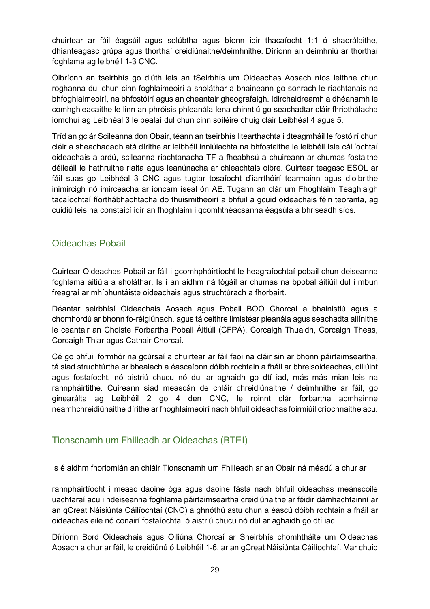chuirtear ar fáil éagsúil agus solúbtha agus bíonn idir thacaíocht 1:1 ó shaorálaithe, dhianteagasc grúpa agus thorthaí creidiúnaithe/deimhnithe. Díríonn an deimhniú ar thorthaí foghlama ag leibhéil 1-3 CNC.

Oibríonn an tseirbhís go dlúth leis an tSeirbhís um Oideachas Aosach níos leithne chun roghanna dul chun cinn foghlaimeoirí a sholáthar a bhaineann go sonrach le riachtanais na bhfoghlaimeoirí, na bhfostóirí agus an cheantair gheografaigh. Idirchaidreamh a dhéanamh le comhghleacaithe le linn an phróisis phleanála lena chinntiú go seachadtar cláir fhriothálacha iomchuí ag Leibhéal 3 le bealaí dul chun cinn soiléire chuig cláir Leibhéal 4 agus 5.

Tríd an gclár Scileanna don Obair, téann an tseirbhís litearthachta i dteagmháil le fostóirí chun cláir a sheachadadh atá dírithe ar leibhéil inniúlachta na bhfostaithe le leibhéil ísle cáilíochtaí oideachais a ardú, scileanna riachtanacha TF a fheabhsú a chuireann ar chumas fostaithe déileáil le hathruithe rialta agus leanúnacha ar chleachtais oibre. Cuirtear teagasc ESOL ar fáil suas go Leibhéal 3 CNC agus tugtar tosaíocht d'iarrthóirí tearmainn agus d'oibrithe inimircigh nó imirceacha ar ioncam íseal ón AE. Tugann an clár um Fhoghlaim Teaghlaigh tacaíochtaí fíorthábhachtacha do thuismitheoirí a bhfuil a gcuid oideachais féin teoranta, ag cuidiú leis na constaicí idir an fhoghlaim i gcomhthéacsanna éagsúla a bhriseadh síos.

## <span id="page-28-0"></span>Oideachas Pobail

Cuirtear Oideachas Pobail ar fáil i gcomhpháirtíocht le heagraíochtaí pobail chun deiseanna foghlama áitiúla a sholáthar. Is í an aidhm ná tógáil ar chumas na bpobal áitiúil dul i mbun freagraí ar mhíbhuntáiste oideachais agus struchtúrach a fhorbairt.

Déantar seirbhísí Oideachais Aosach agus Pobail BOO Chorcaí a bhainistiú agus a chomhordú ar bhonn fo-réigiúnach, agus tá ceithre limistéar pleanála agus seachadta ailínithe le ceantair an Choiste Forbartha Pobail Áitiúil (CFPÁ), Corcaigh Thuaidh, Corcaigh Theas, Corcaigh Thiar agus Cathair Chorcaí.

Cé go bhfuil formhór na gcúrsaí a chuirtear ar fáil faoi na cláir sin ar bhonn páirtaimseartha, tá siad struchtúrtha ar bhealach a éascaíonn dóibh rochtain a fháil ar bhreisoideachas, oiliúint agus fostaíocht, nó aistriú chucu nó dul ar aghaidh go dtí iad, más más mian leis na rannpháirtithe. Cuireann siad meascán de chláir chreidiúnaithe / deimhnithe ar fáil, go ginearálta ag Leibhéil 2 go 4 den CNC, le roinnt clár forbartha acmhainne neamhchreidiúnaithe dírithe ar fhoghlaimeoirí nach bhfuil oideachas foirmiúil críochnaithe acu.

## <span id="page-28-1"></span>Tionscnamh um Fhilleadh ar Oideachas (BTEI)

Is é aidhm fhoriomlán an chláir Tionscnamh um Fhilleadh ar an Obair ná méadú a chur ar

rannpháirtíocht i measc daoine óga agus daoine fásta nach bhfuil oideachas meánscoile uachtaraí acu i ndeiseanna foghlama páirtaimseartha creidiúnaithe ar féidir dámhachtainní ar an gCreat Náisiúnta Cáilíochtaí (CNC) a ghnóthú astu chun a éascú dóibh rochtain a fháil ar oideachas eile nó conairí fostaíochta, ó aistriú chucu nó dul ar aghaidh go dtí iad.

Díríonn Bord Oideachais agus Oiliúna Chorcaí ar Sheirbhís chomhtháite um Oideachas Aosach a chur ar fáil, le creidiúnú ó Leibhéil 1-6, ar an gCreat Náisiúnta Cáilíochtaí. Mar chuid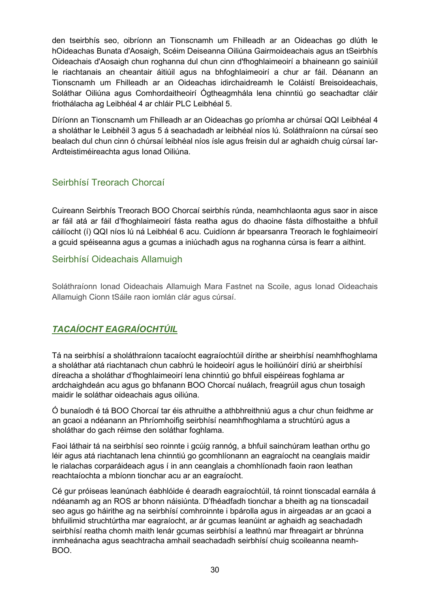den tseirbhís seo, oibríonn an Tionscnamh um Fhilleadh ar an Oideachas go dlúth le hOideachas Bunata d'Aosaigh, Scéim Deiseanna Oiliúna Gairmoideachais agus an tSeirbhís Oideachais d'Aosaigh chun roghanna dul chun cinn d'fhoghlaimeoirí a bhaineann go sainiúil le riachtanais an cheantair áitiúil agus na bhfoghlaimeoirí a chur ar fáil. Déanann an Tionscnamh um Fhilleadh ar an Oideachas idirchaidreamh le Coláistí Breisoideachais, Soláthar Oiliúna agus Comhordaitheoirí Ógtheagmhála lena chinntiú go seachadtar cláir friothálacha ag Leibhéal 4 ar chláir PLC Leibhéal 5.

Díríonn an Tionscnamh um Fhilleadh ar an Oideachas go príomha ar chúrsaí QQI Leibhéal 4 a sholáthar le Leibhéil 3 agus 5 á seachadadh ar leibhéal níos lú. Soláthraíonn na cúrsaí seo bealach dul chun cinn ó chúrsaí leibhéal níos ísle agus freisin dul ar aghaidh chuig cúrsaí Iar-Ardteistiméireachta agus Ionad Oiliúna.

## <span id="page-29-0"></span>Seirbhísí Treorach Chorcaí

Cuireann Seirbhís Treorach BOO Chorcaí seirbhís rúnda, neamhchlaonta agus saor in aisce ar fáil atá ar fáil d'fhoghlaimeoirí fásta reatha agus do dhaoine fásta dífhostaithe a bhfuil cáilíocht (í) QQI níos lú ná Leibhéal 6 acu. Cuidíonn ár bpearsanra Treorach le foghlaimeoirí a gcuid spéiseanna agus a gcumas a iniúchadh agus na roghanna cúrsa is fearr a aithint.

## <span id="page-29-1"></span>Seirbhísí Oideachais Allamuigh

Soláthraíonn Ionad Oideachais Allamuigh Mara Fastnet na Scoile, agus Ionad Oideachais Allamuigh Cionn tSáile raon iomlán clár agus cúrsaí.

## <span id="page-29-2"></span>*TACAÍOCHT EAGRAÍOCHTÚIL*

Tá na seirbhísí a sholáthraíonn tacaíocht eagraíochtúil dírithe ar sheirbhísí neamhfhoghlama a sholáthar atá riachtanach chun cabhrú le hoideoirí agus le hoiliúnóirí díriú ar sheirbhísí díreacha a sholáthar d'fhoghlaimeoirí lena chinntiú go bhfuil eispéireas foghlama ar ardchaighdeán acu agus go bhfanann BOO Chorcaí nuálach, freagrúil agus chun tosaigh maidir le soláthar oideachais agus oiliúna.

Ó bunaíodh é tá BOO Chorcaí tar éis athruithe a athbhreithniú agus a chur chun feidhme ar an gcaoi a ndéanann an Phríomhoifig seirbhísí neamhfhoghlama a struchtúrú agus a sholáthar do gach réimse den soláthar foghlama.

Faoi láthair tá na seirbhísí seo roinnte i gcúig rannóg, a bhfuil sainchúram leathan orthu go léir agus atá riachtanach lena chinntiú go gcomhlíonann an eagraíocht na ceanglais maidir le rialachas corparáideach agus í in ann ceanglais a chomhlíonadh faoin raon leathan reachtaíochta a mbíonn tionchar acu ar an eagraíocht.

Cé gur próiseas leanúnach éabhlóide é dearadh eagraíochtúil, tá roinnt tionscadal earnála á ndéanamh ag an ROS ar bhonn náisiúnta. D'fhéadfadh tionchar a bheith ag na tionscadail seo agus go háirithe ag na seirbhísí comhroinnte i bpárolla agus in airgeadas ar an gcaoi a bhfuilimid struchtúrtha mar eagraíocht, ar ár gcumas leanúint ar aghaidh ag seachadadh seirbhísí reatha chomh maith lenár gcumas seirbhísí a leathnú mar fhreagairt ar bhrúnna inmheánacha agus seachtracha amhail seachadadh seirbhísí chuig scoileanna neamh-BOO.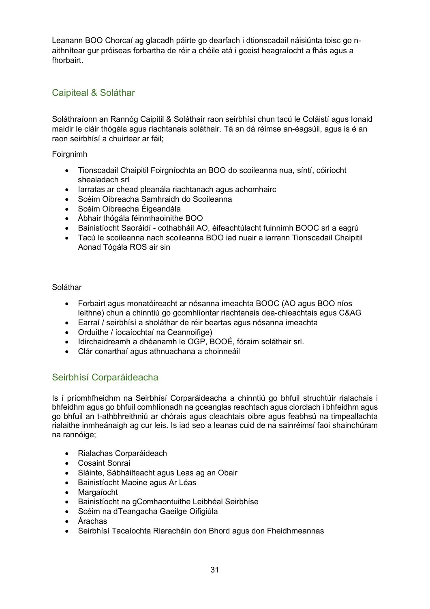Leanann BOO Chorcaí ag glacadh páirte go dearfach i dtionscadail náisiúnta toisc go naithnítear gur próiseas forbartha de réir a chéile atá i gceist heagraíocht a fhás agus a fhorbairt.

## <span id="page-30-0"></span>Caipiteal & Soláthar

Soláthraíonn an Rannóg Caipitil & Soláthair raon seirbhísí chun tacú le Coláistí agus Ionaid maidir le cláir thógála agus riachtanais soláthair. Tá an dá réimse an-éagsúil, agus is é an raon seirbhísí a chuirtear ar fáil;

Foirgnimh

- Tionscadail Chaipitil Foirgníochta an BOO do scoileanna nua, síntí, cóiríocht shealadach srl
- Iarratas ar chead pleanála riachtanach agus achomhairc
- Scéim Oibreacha Samhraidh do Scoileanna
- Scéim Oibreacha Éigeandála
- Ábhair thógála féinmhaoinithe BOO
- Bainistíocht Saoráidí cothabháil AO, éifeachtúlacht fuinnimh BOOC srl a eagrú
- Tacú le scoileanna nach scoileanna BOO iad nuair a iarrann Tionscadail Chaipitil Aonad Tógála ROS air sin

#### Soláthar

- Forbairt agus monatóireacht ar nósanna imeachta BOOC (AO agus BOO níos leithne) chun a chinntiú go gcomhlíontar riachtanais dea-chleachtais agus C&AG
- Earraí / seirbhísí a sholáthar de réir beartas agus nósanna imeachta
- Orduithe / íocaíochtaí na Ceannoifige)
- Idirchaidreamh a dhéanamh le OGP, BOOÉ, fóraim soláthair srl.
- Clár conarthaí agus athnuachana a choinneáil

## <span id="page-30-1"></span>Seirbhísí Corparáideacha

Is í príomhfheidhm na Seirbhísí Corparáideacha a chinntiú go bhfuil struchtúir rialachais i bhfeidhm agus go bhfuil comhlíonadh na gceanglas reachtach agus ciorclach i bhfeidhm agus go bhfuil an t-athbhreithniú ar chórais agus cleachtais oibre agus feabhsú na timpeallachta rialaithe inmheánaigh ag cur leis. Is iad seo a leanas cuid de na sainréimsí faoi shainchúram na rannóige;

- Rialachas Corparáideach
- Cosaint Sonraí
- Sláinte, Sábháilteacht agus Leas ag an Obair
- Bainistíocht Maoine agus Ar Léas
- Margaíocht
- Bainistíocht na gComhaontuithe Leibhéal Seirbhíse
- Scéim na dTeangacha Gaeilge Oifigiúla
- Árachas
- Seirbhísí Tacaíochta Riaracháin don Bhord agus don Fheidhmeannas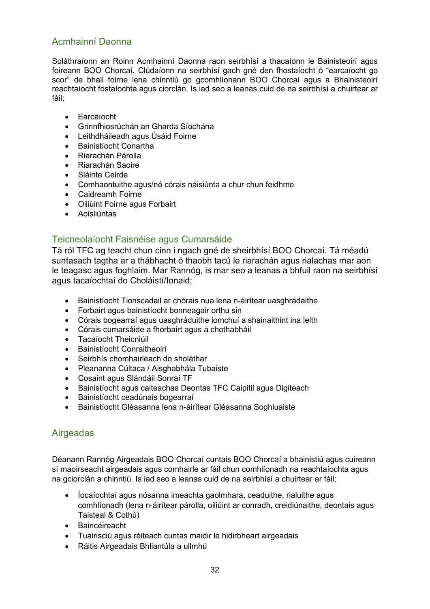## <span id="page-31-0"></span>Acmhainní Daonna

Soláthraíonn an Roinn Acmhainní Daonna raon seirbhísí a thacaíonn le Bainisteoirí agus foireann BOO Chorcaí. Clúdaíonn na seirbhísí gach gné den fhostaíocht ó "earcaíocht go scor" de bhall foirne lena chinntiú go gcomhlíonann BOO Chorcaí agus a Bhainisteoirí reachtaíocht fostaíochta agus ciorclán. Is iad seo a leanas cuid de na seirbhísí a chuirtear ar fáil;

- Earcaíocht
- Grinnfhiosrúchán an Gharda Síochána
- Leithdháileadh agus Úsáid Foirne
- Bainistíocht Conartha
- Riarachán Párolla
- Riarachán Saoire
- Sláinte Ceirde
- Comhaontuithe agus/nó córais náisiúnta a chur chun feidhme
- Caidreamh Foirne
- Oiliúint Foirne agus Forbairt
- Aoisliúntas

## <span id="page-31-1"></span>Teicneolaíocht Faisnéise agus Cumarsáide

Tá ról TFC ag teacht chun cinn i ngach gné de sheirbhísí BOO Chorcaí. Tá méadú suntasach tagtha ar a thábhacht ó thaobh tacú le riarachán agus rialachas mar aon le teagasc agus foghlaim. Mar Rannóg, is mar seo a leanas a bhfuil raon na seirbhísí agus tacaíochtaí do Choláistí/Ionaid;

- Bainistíocht Tionscadail ar chórais nua lena n-áirítear uasghrádaithe
- Forbairt agus bainistíocht bonneagair orthu sin
- Córais bogearraí agus uasghráduithe iomchuí a shainaithint ina leith
- Córais cumarsáide a fhorbairt agus a chothabháil
- Tacaíocht Theicniúil
- Bainistíocht Conraitheoirí
- Seirbhís chomhairleach do sholáthar
- Pleananna Cúltaca / Aisghabhála Tubaiste
- Cosaint agus Slándáil Sonraí TF
- Bainistíocht agus caiteachas Deontas TFC Caipitil agus Digiteach
- Bainistíocht ceadúnais bogearraí
- Bainistíocht Gléasanna lena n-áirítear Gléasanna Soghluaiste

## <span id="page-31-2"></span>Airgeadas

Déanann Rannóg Airgeadais BOO Chorcaí cuntais BOO Chorcaí a bhainistiú agus cuireann sí maoirseacht airgeadais agus comhairle ar fáil chun comhlíonadh na reachtaíochta agus na gciorclán a chinntiú. Is iad seo a leanas cuid de na seirbhísí a chuirtear ar fáil;

- Íocaíochtaí agus nósanna imeachta gaolmhara, ceaduithe, rialuithe agus comhlíonadh (lena n-áirítear párolla, oiliúint ar conradh, creidiúnaithe, deontais agus Taisteal & Cothú)
- Baincéireacht
- Tuairisciú agus réiteach cuntas maidir le hidirbheart airgeadais
- Ráitis Airgeadais Bhliantúla a ullmhú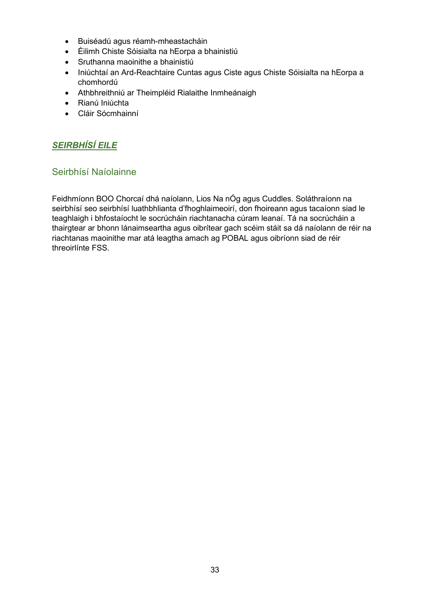- Buiséadú agus réamh-mheastacháin
- Éilimh Chiste Sóisialta na hEorpa a bhainistiú
- Sruthanna maoinithe a bhainistiú
- Iniúchtaí an Ard-Reachtaire Cuntas agus Ciste agus Chiste Sóisialta na hEorpa a chomhordú
- Athbhreithniú ar Theimpléid Rialaithe Inmheánaigh
- Rianú Iniúchta
- Cláir Sócmhainní

## <span id="page-32-0"></span>*SEIRBHÍSÍ EILE*

## <span id="page-32-1"></span>Seirbhísí Naíolainne

Feidhmíonn BOO Chorcaí dhá naíolann, Lios Na nÓg agus Cuddles. Soláthraíonn na seirbhísí seo seirbhísí luathbhlianta d'fhoghlaimeoirí, don fhoireann agus tacaíonn siad le teaghlaigh i bhfostaíocht le socrúcháin riachtanacha cúram leanaí. Tá na socrúcháin a thairgtear ar bhonn lánaimseartha agus oibrítear gach scéim stáit sa dá naíolann de réir na riachtanas maoinithe mar atá leagtha amach ag POBAL agus oibríonn siad de réir threoirlínte FSS.